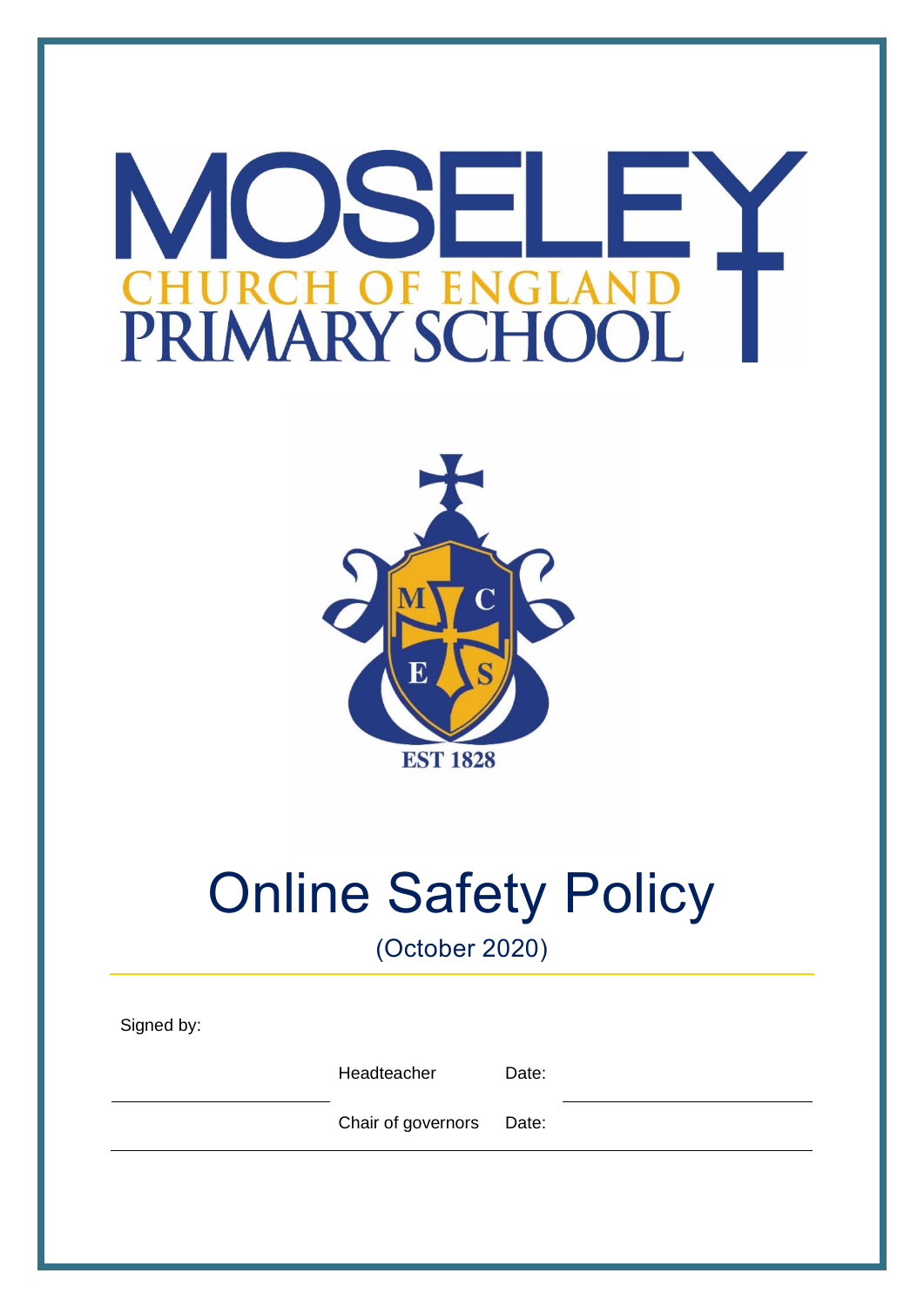# OSF M H OF EN GLA PRIMARY SCHOO



# Online Safety Policy

(October 2020)

| Signed by: |                    |       |  |
|------------|--------------------|-------|--|
|            | Headteacher        | Date: |  |
|            | Chair of governors | Date: |  |
|            |                    |       |  |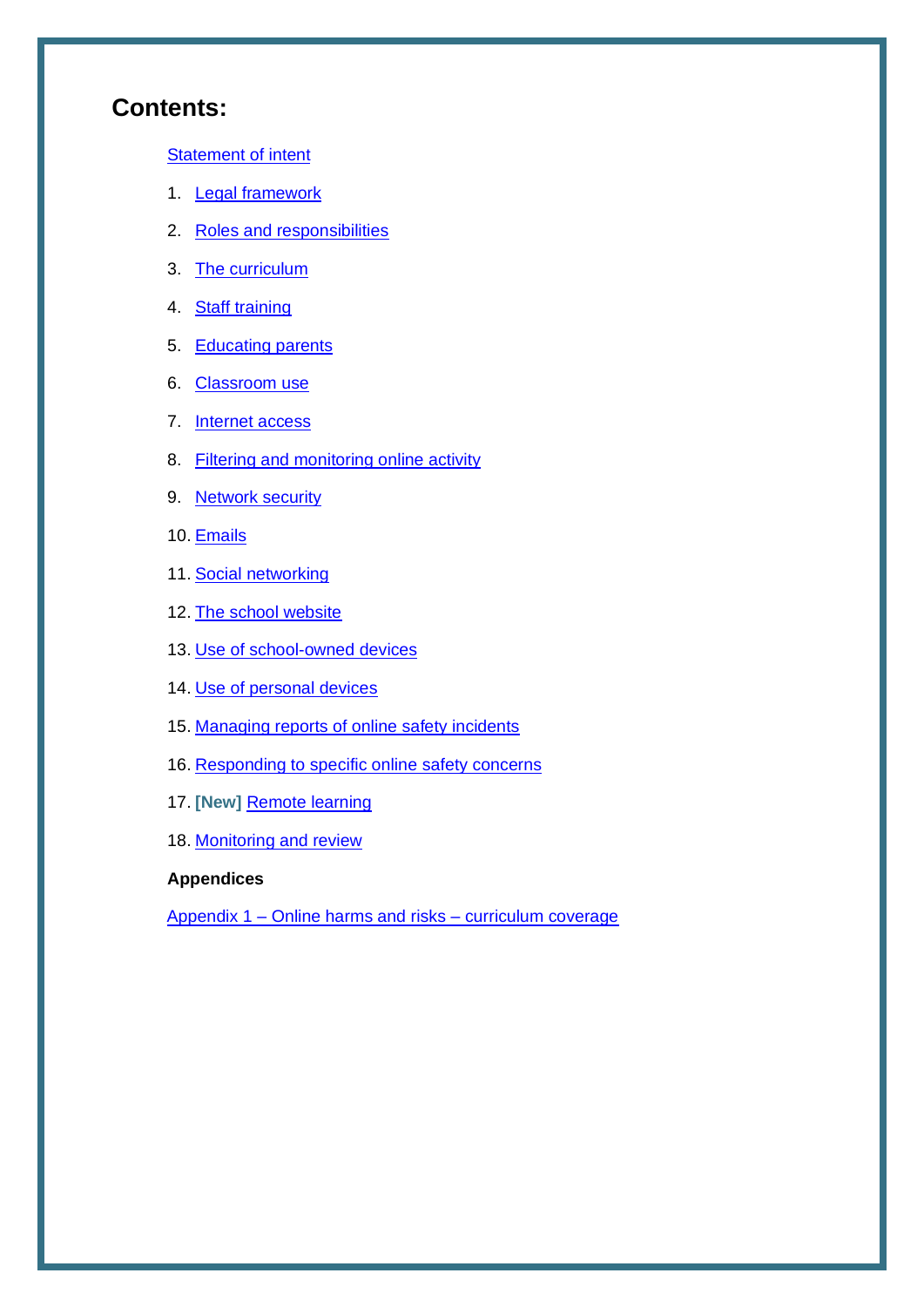# **Contents:**

[Statement of intent](#page-1-0)

- 1. **[Legal framework](#page-3-0)**
- 2. [Roles and responsibilities](#page-3-1)
- 3. [The curriculum](#page-6-0)
- 4. [Staff training](#page-8-0)
- 5. [Educating parents](#page-9-0)
- 6. [Classroom use](#page-9-1)
- 7. [Internet access](#page-10-0)
- 8. [Filtering and monitoring online activity](#page-10-1)
- 9. [Network security](#page-11-0)
- 10. [Emails](#page-12-0)
- 11. [Social networking](#page-13-0)
- 12. [The school website](#page-14-0)
- 13. [Use of school-owned devices](#page-14-1)
- 14. [Use of personal devices](#page-15-0)
- 15. Managing reports of online safety incidents
- 16. [Responding to specific online safety concerns](#page-17-0)
- 17. **[New]** [Remote learning](#page-19-0)
- 18. [Monitoring and review](#page-19-0)

#### **Appendices**

<span id="page-1-0"></span>Appendix 1 – [Online harms and risks –](#page-22-0) curriculum coverage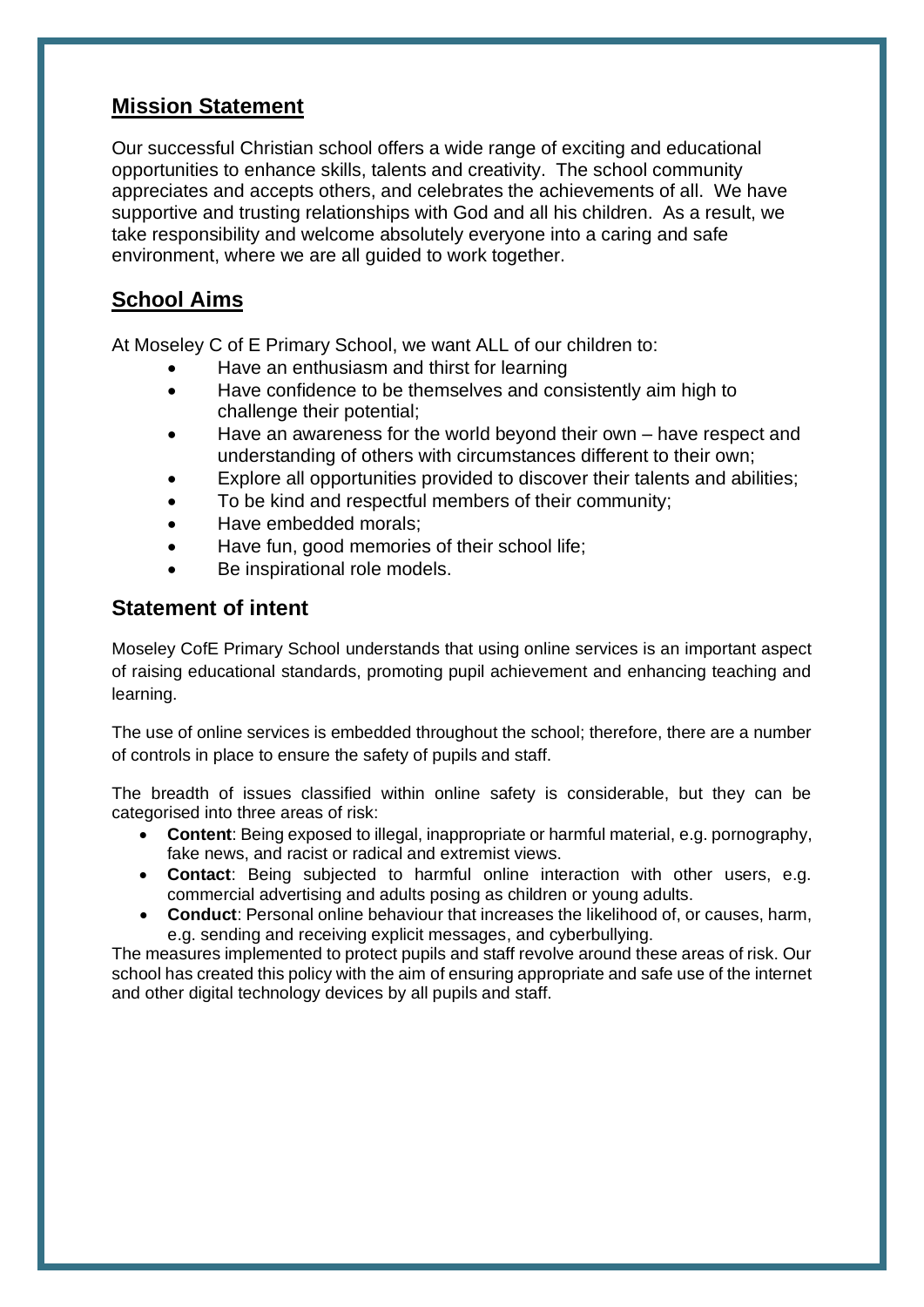### **Mission Statement**

Our successful Christian school offers a wide range of exciting and educational opportunities to enhance skills, talents and creativity. The school community appreciates and accepts others, and celebrates the achievements of all. We have supportive and trusting relationships with God and all his children. As a result, we take responsibility and welcome absolutely everyone into a caring and safe environment, where we are all guided to work together.

# **School Aims**

At Moseley C of E Primary School, we want ALL of our children to:

- Have an enthusiasm and thirst for learning
- Have confidence to be themselves and consistently aim high to challenge their potential;
- Have an awareness for the world beyond their own have respect and understanding of others with circumstances different to their own;
- Explore all opportunities provided to discover their talents and abilities;
- To be kind and respectful members of their community;
- Have embedded morals;
- Have fun, good memories of their school life;
- Be inspirational role models.

## **Statement of intent**

Moseley CofE Primary School understands that using online services is an important aspect of raising educational standards, promoting pupil achievement and enhancing teaching and learning.

The use of online services is embedded throughout the school; therefore, there are a number of controls in place to ensure the safety of pupils and staff.

The breadth of issues classified within online safety is considerable, but they can be categorised into three areas of risk:

- **Content**: Being exposed to illegal, inappropriate or harmful material, e.g. pornography, fake news, and racist or radical and extremist views.
- **Contact**: Being subjected to harmful online interaction with other users, e.g. commercial advertising and adults posing as children or young adults.
- **Conduct**: Personal online behaviour that increases the likelihood of, or causes, harm, e.g. sending and receiving explicit messages, and cyberbullying.

The measures implemented to protect pupils and staff revolve around these areas of risk. Our school has created this policy with the aim of ensuring appropriate and safe use of the internet and other digital technology devices by all pupils and staff.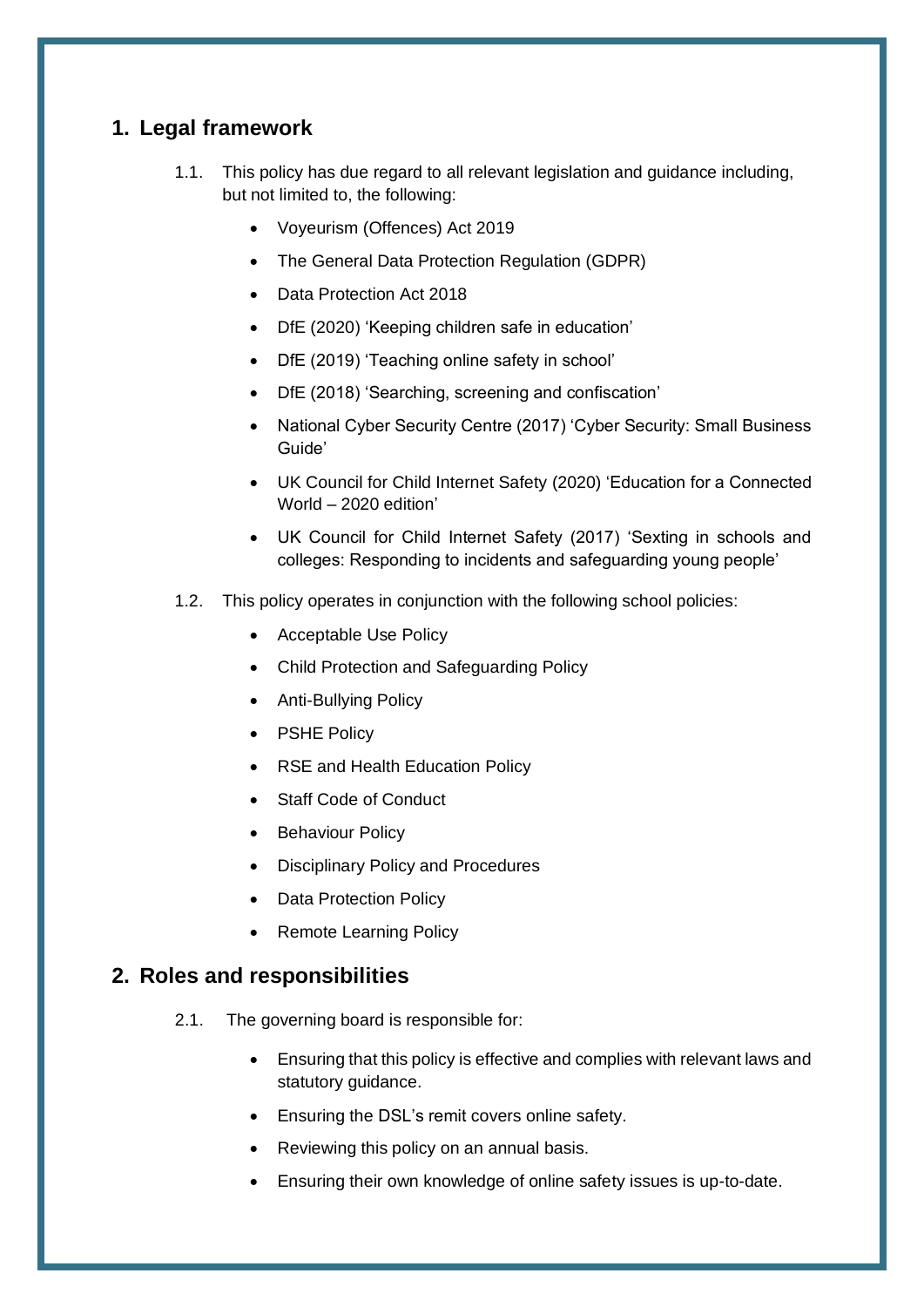## <span id="page-3-0"></span>**1. Legal framework**

- 1.1. This policy has due regard to all relevant legislation and guidance including, but not limited to, the following:
	- Voyeurism (Offences) Act 2019
	- The General Data Protection Regulation (GDPR)
	- Data Protection Act 2018
	- DfE (2020) 'Keeping children safe in education'
	- DfE (2019) 'Teaching online safety in school'
	- DfE (2018) 'Searching, screening and confiscation'
	- National Cyber Security Centre (2017) 'Cyber Security: Small Business Guide'
	- UK Council for Child Internet Safety (2020) 'Education for a Connected World – 2020 edition'
	- UK Council for Child Internet Safety (2017) 'Sexting in schools and colleges: Responding to incidents and safeguarding young people'
- 1.2. This policy operates in conjunction with the following school policies:
	- Acceptable Use Policy
	- Child Protection and Safeguarding Policy
	- Anti-Bullying Policy
	- PSHE Policy
	- RSE and Health Education Policy
	- Staff Code of Conduct
	- Behaviour Policy
	- Disciplinary Policy and Procedures
	- Data Protection Policy
	- Remote Learning Policy

#### <span id="page-3-1"></span>**2. Roles and responsibilities**

- 2.1. The governing board is responsible for:
	- Ensuring that this policy is effective and complies with relevant laws and statutory guidance.
	- Ensuring the DSL's remit covers online safety.
	- Reviewing this policy on an annual basis.
	- Ensuring their own knowledge of online safety issues is up-to-date.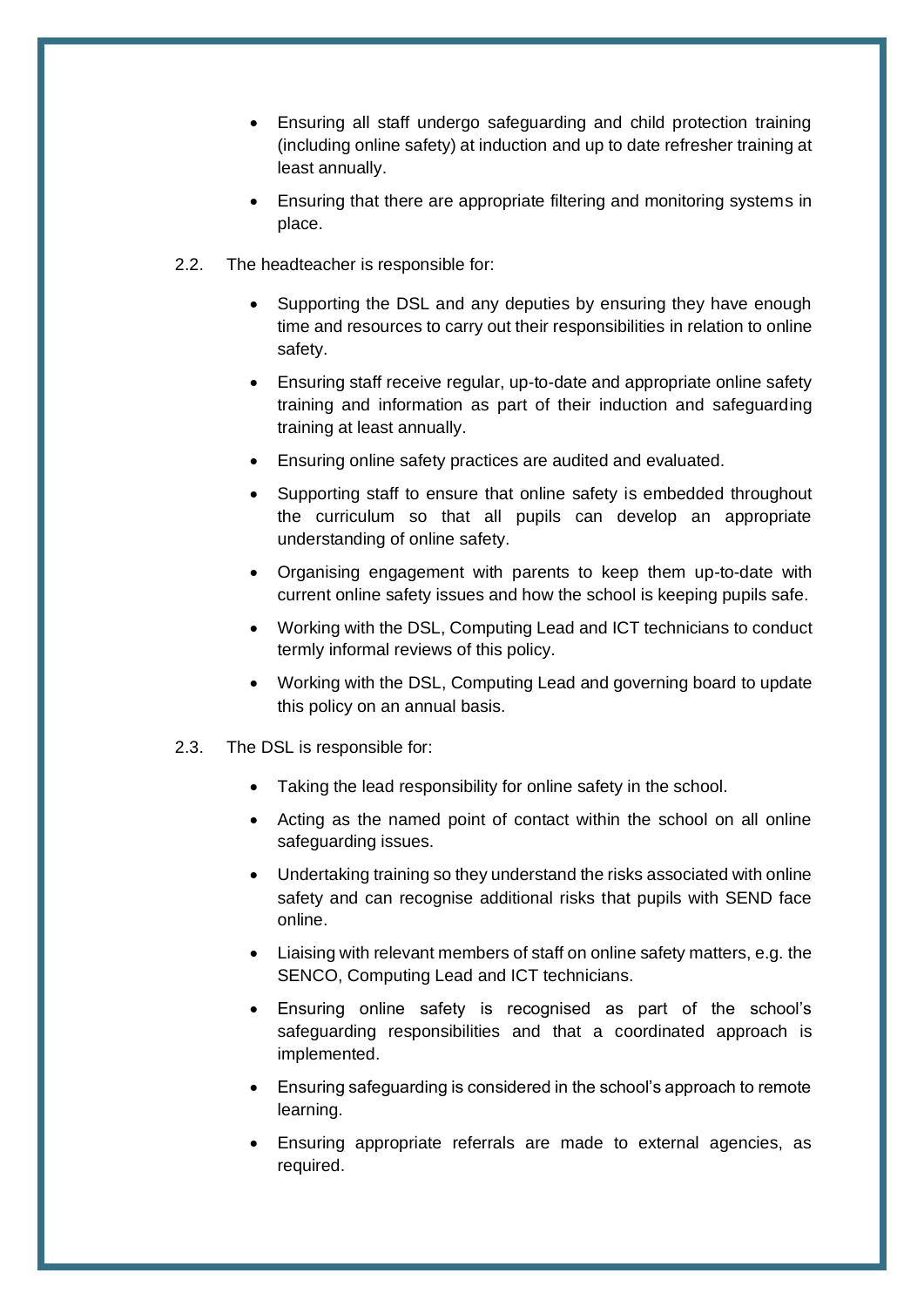- Ensuring all staff undergo safeguarding and child protection training (including online safety) at induction and up to date refresher training at least annually.
- Ensuring that there are appropriate filtering and monitoring systems in place.
- 2.2. The headteacher is responsible for:
	- Supporting the DSL and any deputies by ensuring they have enough time and resources to carry out their responsibilities in relation to online safety.
	- Ensuring staff receive regular, up-to-date and appropriate online safety training and information as part of their induction and safeguarding training at least annually.
	- Ensuring online safety practices are audited and evaluated.
	- Supporting staff to ensure that online safety is embedded throughout the curriculum so that all pupils can develop an appropriate understanding of online safety.
	- Organising engagement with parents to keep them up-to-date with current online safety issues and how the school is keeping pupils safe.
	- Working with the DSL, Computing Lead and ICT technicians to conduct termly informal reviews of this policy.
	- Working with the DSL, Computing Lead and governing board to update this policy on an annual basis.
- 2.3. The DSL is responsible for:
	- Taking the lead responsibility for online safety in the school.
	- Acting as the named point of contact within the school on all online safeguarding issues.
	- Undertaking training so they understand the risks associated with online safety and can recognise additional risks that pupils with SEND face online.
	- Liaising with relevant members of staff on online safety matters, e.g. the SENCO, Computing Lead and ICT technicians.
	- Ensuring online safety is recognised as part of the school's safeguarding responsibilities and that a coordinated approach is implemented.
	- Ensuring safeguarding is considered in the school's approach to remote learning.
	- Ensuring appropriate referrals are made to external agencies, as required.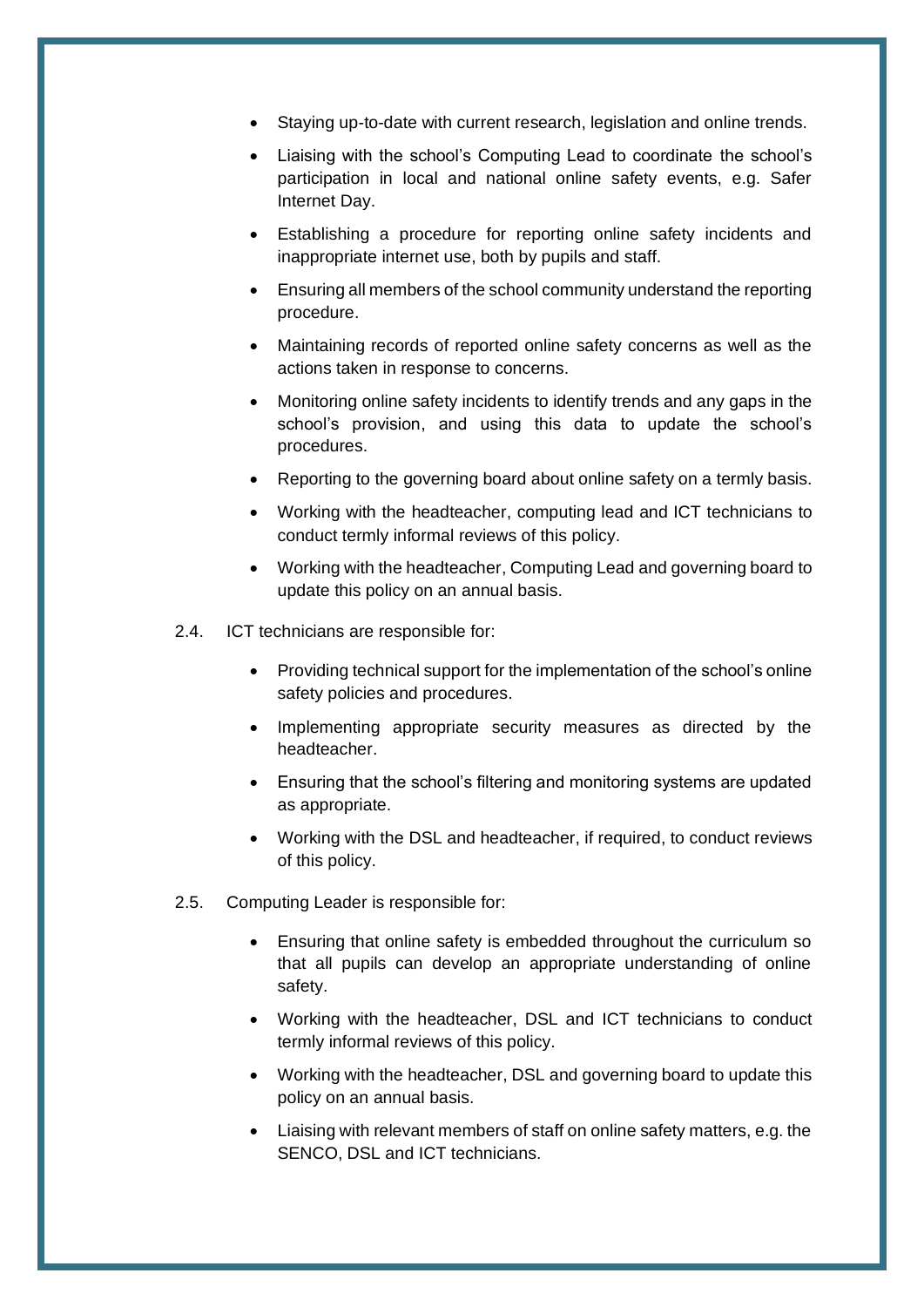- Staying up-to-date with current research, legislation and online trends.
- Liaising with the school's Computing Lead to coordinate the school's participation in local and national online safety events, e.g. Safer Internet Day.
- Establishing a procedure for reporting online safety incidents and inappropriate internet use, both by pupils and staff.
- Ensuring all members of the school community understand the reporting procedure.
- Maintaining records of reported online safety concerns as well as the actions taken in response to concerns.
- Monitoring online safety incidents to identify trends and any gaps in the school's provision, and using this data to update the school's procedures.
- Reporting to the governing board about online safety on a termly basis.
- Working with the headteacher, computing lead and ICT technicians to conduct termly informal reviews of this policy.
- Working with the headteacher, Computing Lead and governing board to update this policy on an annual basis.
- 2.4. ICT technicians are responsible for:
	- Providing technical support for the implementation of the school's online safety policies and procedures.
	- Implementing appropriate security measures as directed by the headteacher.
	- Ensuring that the school's filtering and monitoring systems are updated as appropriate.
	- Working with the DSL and headteacher, if required, to conduct reviews of this policy.
- 2.5. Computing Leader is responsible for:
	- Ensuring that online safety is embedded throughout the curriculum so that all pupils can develop an appropriate understanding of online safety.
	- Working with the headteacher, DSL and ICT technicians to conduct termly informal reviews of this policy.
	- Working with the headteacher, DSL and governing board to update this policy on an annual basis.
	- Liaising with relevant members of staff on online safety matters, e.g. the SENCO, DSL and ICT technicians.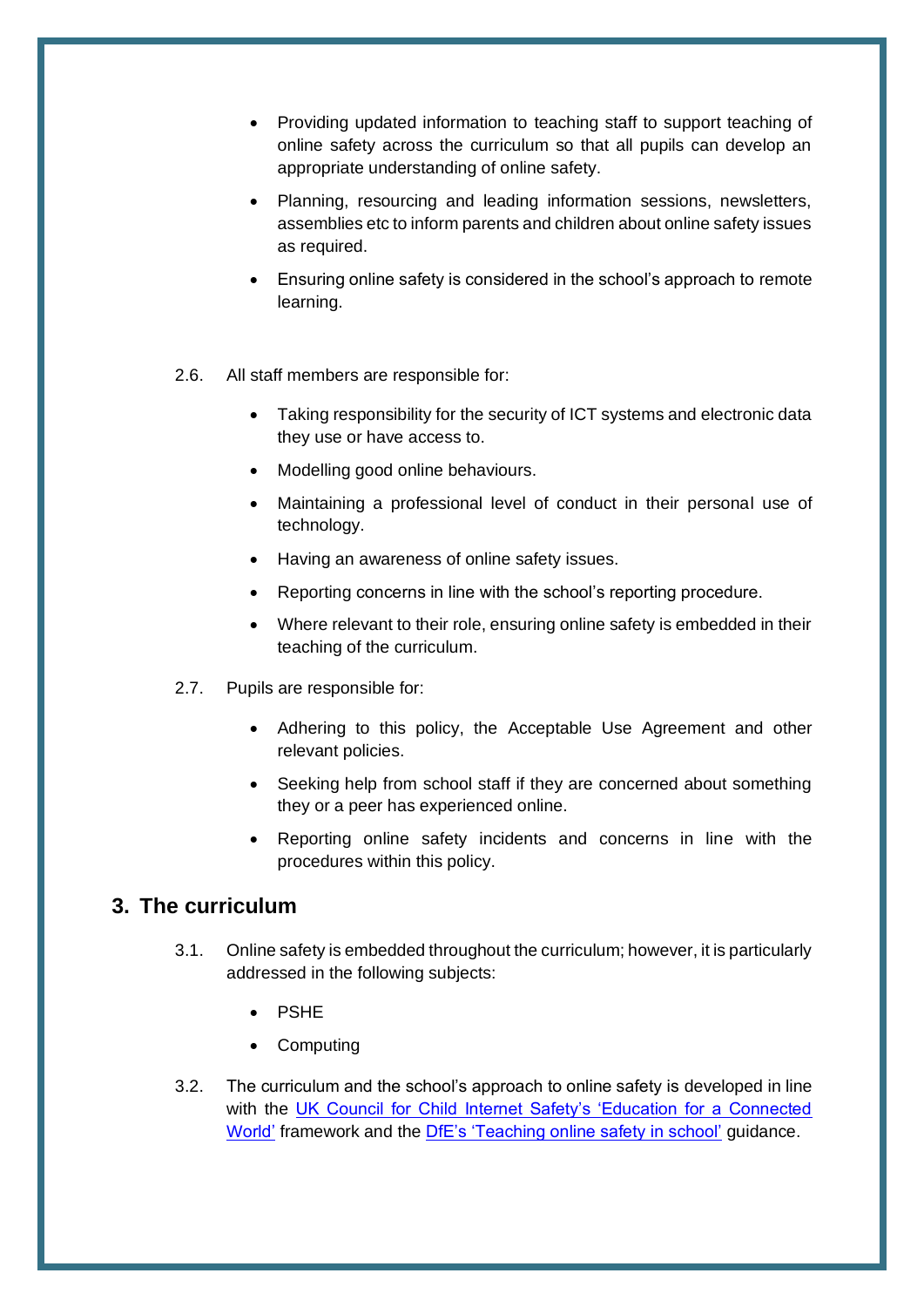- Providing updated information to teaching staff to support teaching of online safety across the curriculum so that all pupils can develop an appropriate understanding of online safety.
- Planning, resourcing and leading information sessions, newsletters, assemblies etc to inform parents and children about online safety issues as required.
- Ensuring online safety is considered in the school's approach to remote learning.
- 2.6. All staff members are responsible for:
	- Taking responsibility for the security of ICT systems and electronic data they use or have access to.
	- Modelling good online behaviours.
	- Maintaining a professional level of conduct in their personal use of technology.
	- Having an awareness of online safety issues.
	- Reporting concerns in line with the school's reporting procedure.
	- Where relevant to their role, ensuring online safety is embedded in their teaching of the curriculum.
- 2.7. Pupils are responsible for:
	- Adhering to this policy, the Acceptable Use Agreement and other relevant policies.
	- Seeking help from school staff if they are concerned about something they or a peer has experienced online.
	- Reporting online safety incidents and concerns in line with the procedures within this policy.

#### <span id="page-6-0"></span>**3. The curriculum**

- 3.1. Online safety is embedded throughout the curriculum; however, it is particularly addressed in the following subjects:
	- PSHE
	- **Computing**
- 3.2. The curriculum and the school's approach to online safety is developed in line with the [UK Council for Child Internet Safety's 'Education for a Connected](https://assets.publishing.service.gov.uk/government/uploads/system/uploads/attachment_data/file/896323/UKCIS_Education_for_a_Connected_World_.pdf)  [World'](https://assets.publishing.service.gov.uk/government/uploads/system/uploads/attachment_data/file/896323/UKCIS_Education_for_a_Connected_World_.pdf) framework and the [DfE's 'Teaching online safety in school'](https://www.gov.uk/government/publications/teaching-online-safety-in-schools) guidance.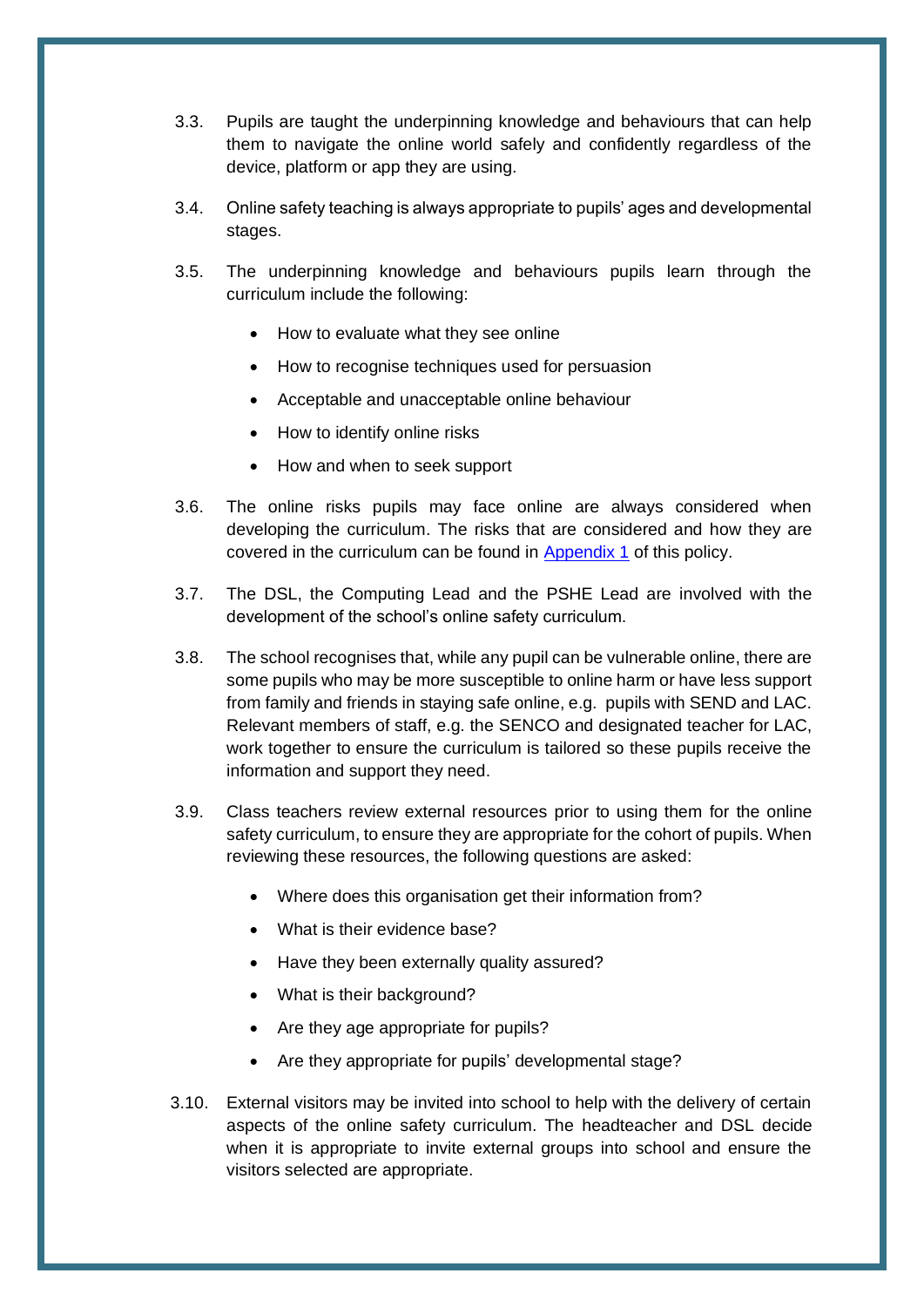- 3.3. Pupils are taught the underpinning knowledge and behaviours that can help them to navigate the online world safely and confidently regardless of the device, platform or app they are using.
- 3.4. Online safety teaching is always appropriate to pupils' ages and developmental stages.
- 3.5. The underpinning knowledge and behaviours pupils learn through the curriculum include the following:
	- How to evaluate what they see online
	- How to recognise techniques used for persuasion
	- Acceptable and unacceptable online behaviour
	- How to identify online risks
	- How and when to seek support
- 3.6. The online risks pupils may face online are always considered when developing the curriculum. The risks that are considered and how they are covered in the curriculum can be found in [Appendix 1](#page-22-0) of this policy.
- 3.7. The DSL, the Computing Lead and the PSHE Lead are involved with the development of the school's online safety curriculum.
- 3.8. The school recognises that, while any pupil can be vulnerable online, there are some pupils who may be more susceptible to online harm or have less support from family and friends in staying safe online, e.g. pupils with SEND and LAC. Relevant members of staff, e.g. the SENCO and designated teacher for LAC, work together to ensure the curriculum is tailored so these pupils receive the information and support they need.
- 3.9. Class teachers review external resources prior to using them for the online safety curriculum, to ensure they are appropriate for the cohort of pupils. When reviewing these resources, the following questions are asked:
	- Where does this organisation get their information from?
	- What is their evidence base?
	- Have they been externally quality assured?
	- What is their background?
	- Are they age appropriate for pupils?
	- Are they appropriate for pupils' developmental stage?
- 3.10. External visitors may be invited into school to help with the delivery of certain aspects of the online safety curriculum. The headteacher and DSL decide when it is appropriate to invite external groups into school and ensure the visitors selected are appropriate.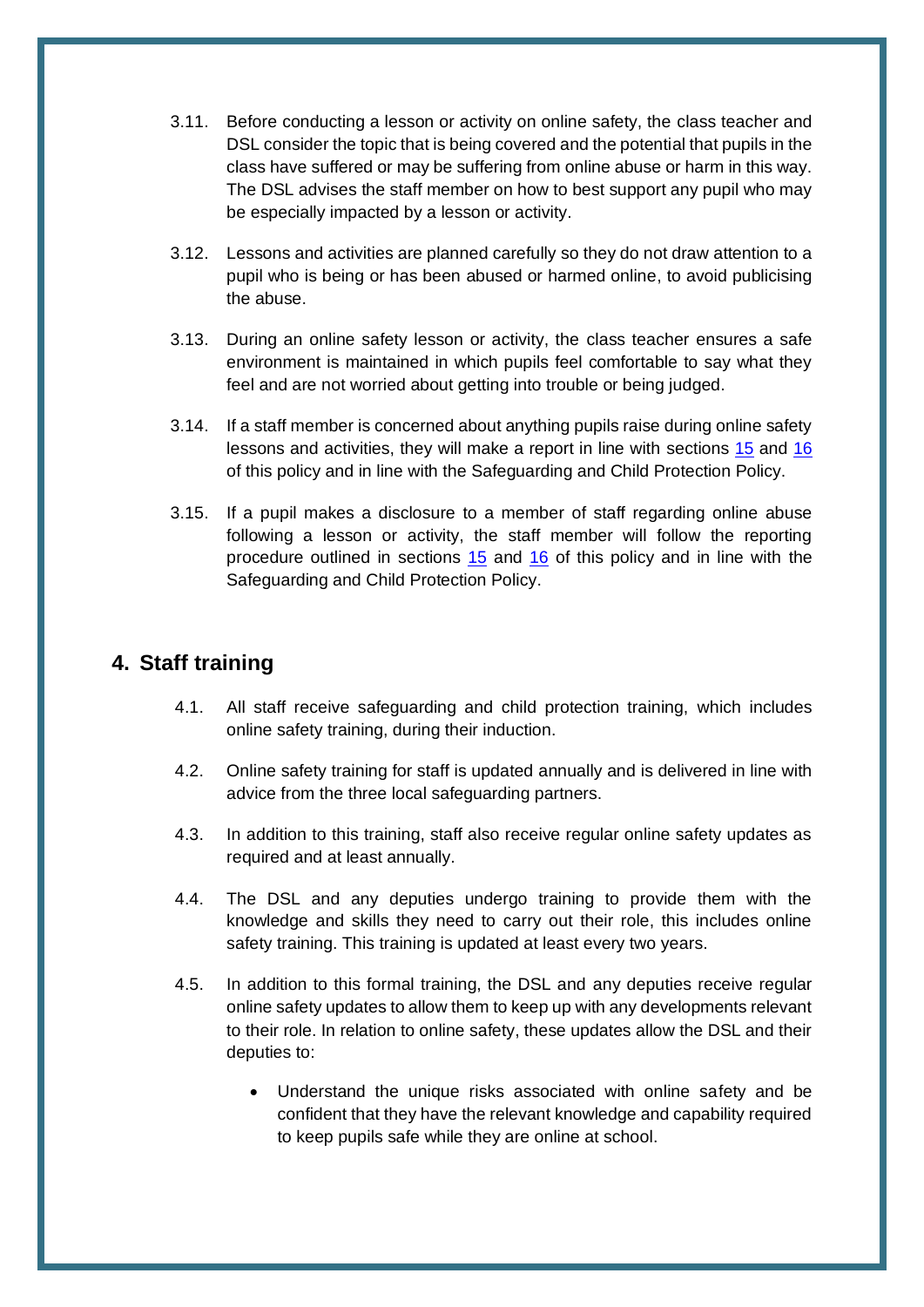- 3.11. Before conducting a lesson or activity on online safety, the class teacher and DSL consider the topic that is being covered and the potential that pupils in the class have suffered or may be suffering from online abuse or harm in this way. The DSL advises the staff member on how to best support any pupil who may be especially impacted by a lesson or activity.
- 3.12. Lessons and activities are planned carefully so they do not draw attention to a pupil who is being or has been abused or harmed online, to avoid publicising the abuse.
- 3.13. During an online safety lesson or activity, the class teacher ensures a safe environment is maintained in which pupils feel comfortable to say what they feel and are not worried about getting into trouble or being judged.
- 3.14. If a staff member is concerned about anything pupils raise during online safety lessons and activities, they will make a report in line with sections 15 and [16](#page-17-0) of this policy and in line with the Safeguarding and Child Protection Policy.
- 3.15. If a pupil makes a disclosure to a member of staff regarding online abuse following a lesson or activity, the staff member will follow the reporting procedure outlined in sections  $15$  and  $16$  of this policy and in line with the Safeguarding and Child Protection Policy.

#### <span id="page-8-0"></span>**4. Staff training**

- 4.1. All staff receive safeguarding and child protection training, which includes online safety training, during their induction.
- 4.2. Online safety training for staff is updated annually and is delivered in line with advice from the three local safeguarding partners.
- 4.3. In addition to this training, staff also receive regular online safety updates as required and at least annually.
- 4.4. The DSL and any deputies undergo training to provide them with the knowledge and skills they need to carry out their role, this includes online safety training. This training is updated at least every two years.
- 4.5. In addition to this formal training, the DSL and any deputies receive regular online safety updates to allow them to keep up with any developments relevant to their role. In relation to online safety, these updates allow the DSL and their deputies to:
	- Understand the unique risks associated with online safety and be confident that they have the relevant knowledge and capability required to keep pupils safe while they are online at school.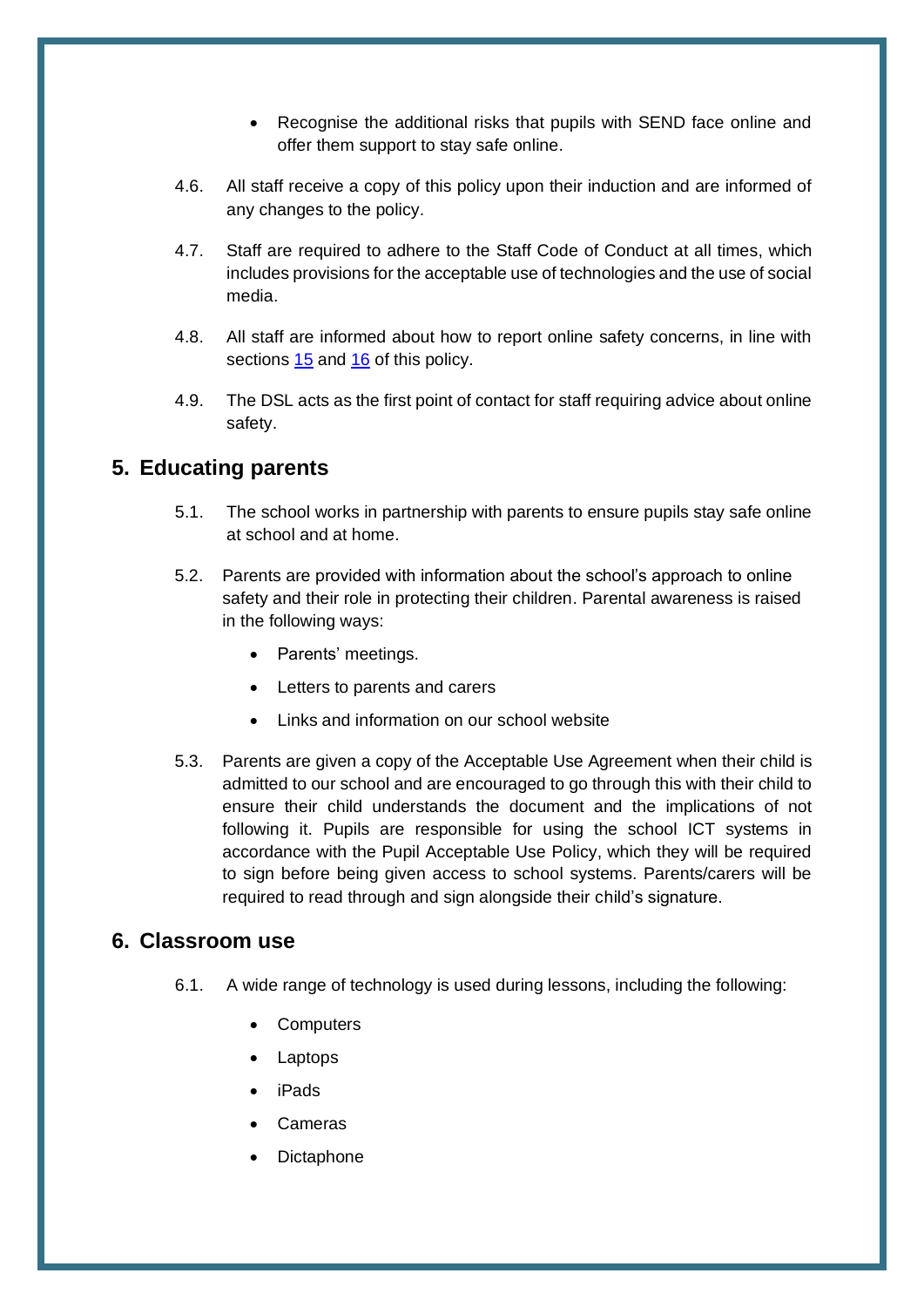- Recognise the additional risks that pupils with SEND face online and offer them support to stay safe online.
- 4.6. All staff receive a copy of this policy upon their induction and are informed of any changes to the policy.
- 4.7. Staff are required to adhere to the Staff Code of Conduct at all times, which includes provisions for the acceptable use of technologies and the use of social media.
- 4.8. All staff are informed about how to report online safety concerns, in line with sections 15 and [16](#page-17-0) of this policy.
- 4.9. The DSL acts as the first point of contact for staff requiring advice about online safety.

#### <span id="page-9-0"></span>**5. Educating parents**

- 5.1. The school works in partnership with parents to ensure pupils stay safe online at school and at home.
- 5.2. Parents are provided with information about the school's approach to online safety and their role in protecting their children. Parental awareness is raised in the following ways:
	- Parents' meetings.
	- Letters to parents and carers
	- Links and information on our school website
- 5.3. Parents are given a copy of the Acceptable Use Agreement when their child is admitted to our school and are encouraged to go through this with their child to ensure their child understands the document and the implications of not following it. Pupils are responsible for using the school ICT systems in accordance with the Pupil Acceptable Use Policy, which they will be required to sign before being given access to school systems. Parents/carers will be required to read through and sign alongside their child's signature.

#### <span id="page-9-1"></span>**6. Classroom use**

- 6.1. A wide range of technology is used during lessons, including the following:
	- **Computers**
	- Laptops
	- iPads
	- **Cameras**
	- **Dictaphone**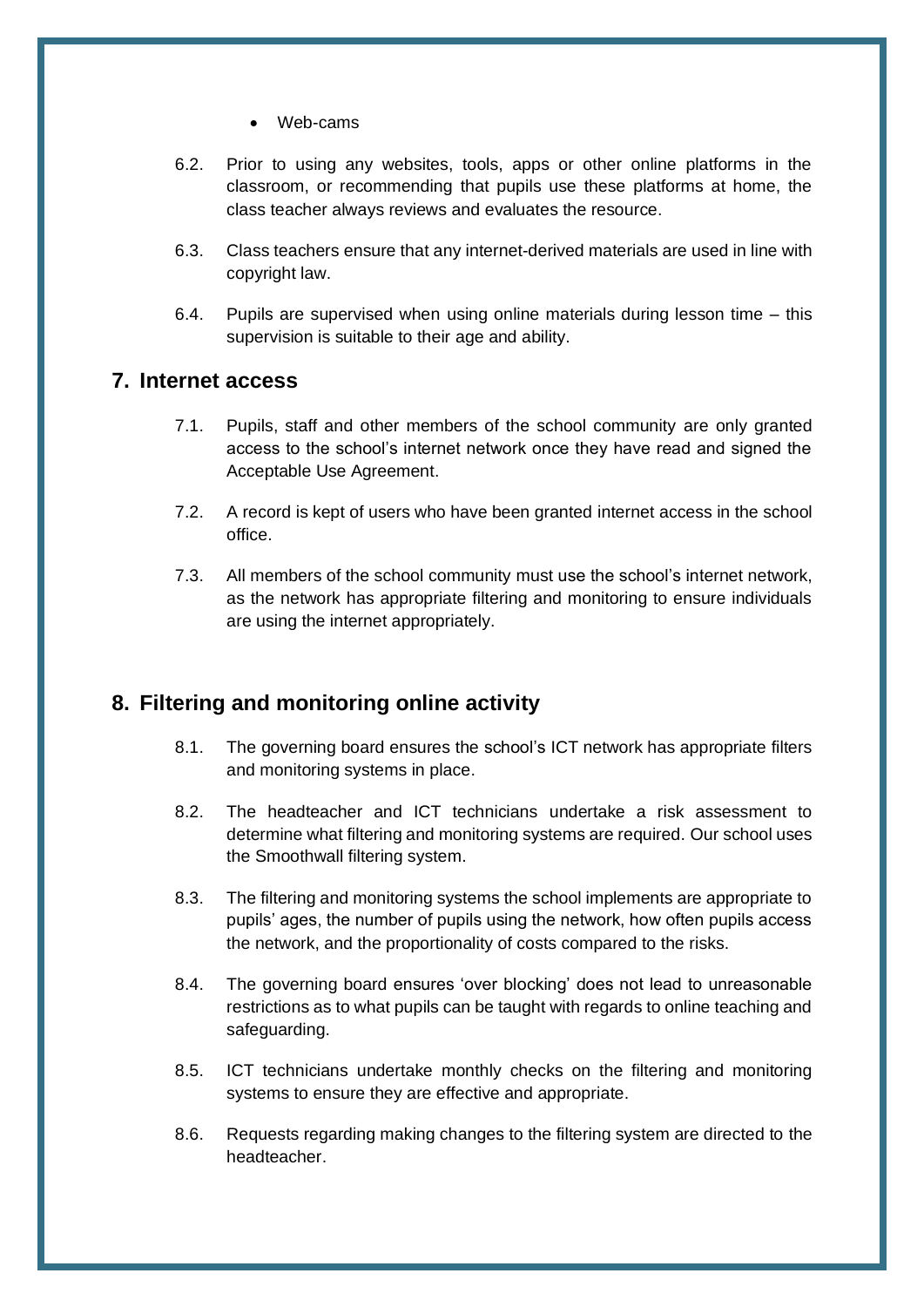- Web-cams
- 6.2. Prior to using any websites, tools, apps or other online platforms in the classroom, or recommending that pupils use these platforms at home, the class teacher always reviews and evaluates the resource.
- 6.3. Class teachers ensure that any internet-derived materials are used in line with copyright law.
- 6.4. Pupils are supervised when using online materials during lesson time this supervision is suitable to their age and ability.

#### <span id="page-10-0"></span>**7. Internet access**

- 7.1. Pupils, staff and other members of the school community are only granted access to the school's internet network once they have read and signed the Acceptable Use Agreement.
- 7.2. A record is kept of users who have been granted internet access in the school office.
- 7.3. All members of the school community must use the school's internet network, as the network has appropriate filtering and monitoring to ensure individuals are using the internet appropriately.

#### <span id="page-10-1"></span>**8. Filtering and monitoring online activity**

- 8.1. The governing board ensures the school's ICT network has appropriate filters and monitoring systems in place.
- 8.2. The headteacher and ICT technicians undertake a risk assessment to determine what filtering and monitoring systems are required. Our school uses the Smoothwall filtering system.
- 8.3. The filtering and monitoring systems the school implements are appropriate to pupils' ages, the number of pupils using the network, how often pupils access the network, and the proportionality of costs compared to the risks.
- 8.4. The governing board ensures 'over blocking' does not lead to unreasonable restrictions as to what pupils can be taught with regards to online teaching and safeguarding.
- 8.5. ICT technicians undertake monthly checks on the filtering and monitoring systems to ensure they are effective and appropriate.
- 8.6. Requests regarding making changes to the filtering system are directed to the headteacher.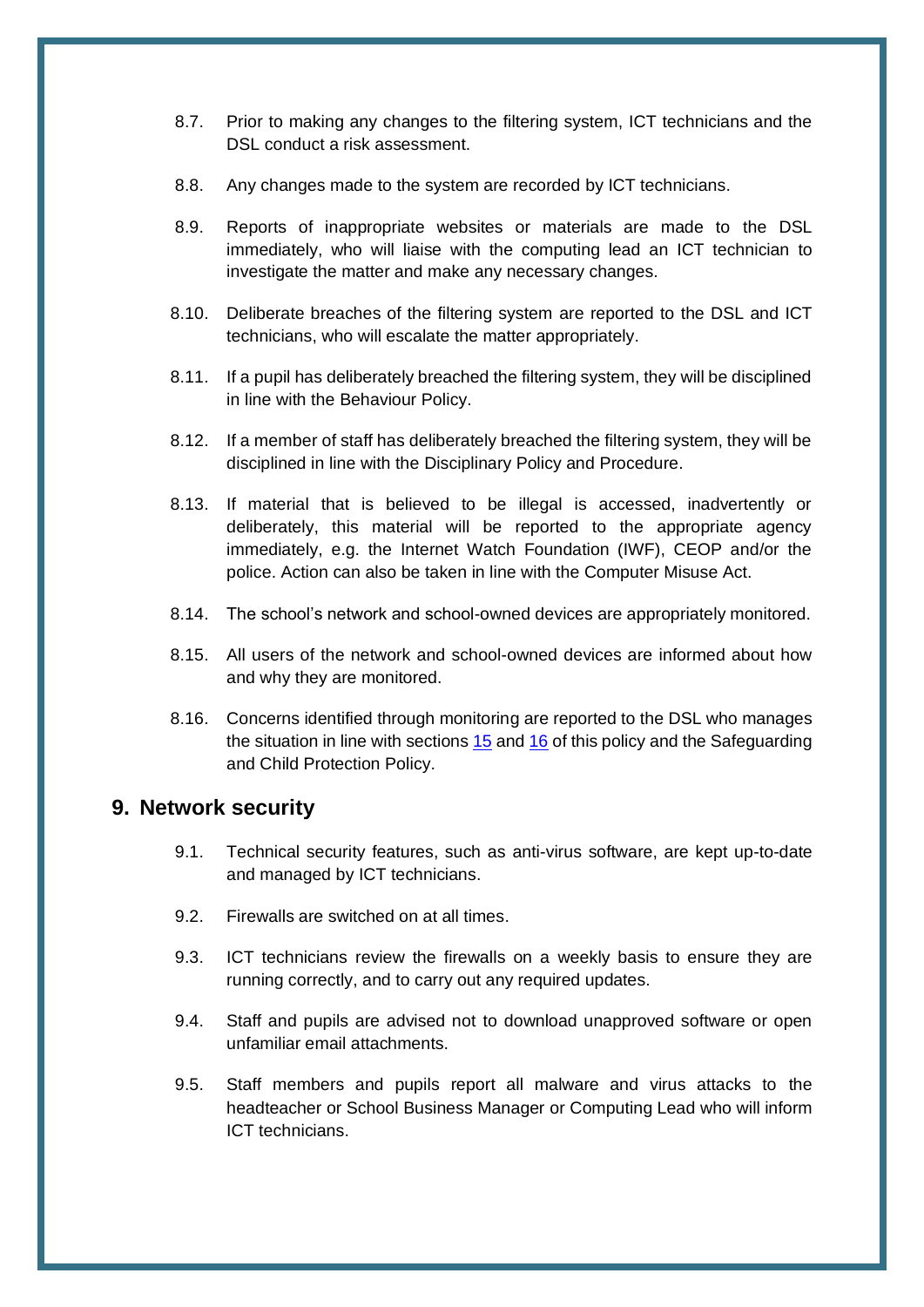- 8.7. Prior to making any changes to the filtering system, ICT technicians and the DSL conduct a risk assessment.
- 8.8. Any changes made to the system are recorded by ICT technicians.
- 8.9. Reports of inappropriate websites or materials are made to the DSL immediately, who will liaise with the computing lead an ICT technician to investigate the matter and make any necessary changes.
- 8.10. Deliberate breaches of the filtering system are reported to the DSL and ICT technicians, who will escalate the matter appropriately.
- 8.11. If a pupil has deliberately breached the filtering system, they will be disciplined in line with the Behaviour Policy.
- 8.12. If a member of staff has deliberately breached the filtering system, they will be disciplined in line with the Disciplinary Policy and Procedure.
- 8.13. If material that is believed to be illegal is accessed, inadvertently or deliberately, this material will be reported to the appropriate agency immediately, e.g. the Internet Watch Foundation (IWF), CEOP and/or the police. Action can also be taken in line with the Computer Misuse Act.
- 8.14. The school's network and school-owned devices are appropriately monitored.
- 8.15. All users of the network and school-owned devices are informed about how and why they are monitored.
- 8.16. Concerns identified through monitoring are reported to the DSL who manages the situation in line with sections 15 and [16](#page-17-0) of this policy and the Safeguarding and Child Protection Policy.

#### <span id="page-11-0"></span>**9. Network security**

- 9.1. Technical security features, such as anti-virus software, are kept up-to-date and managed by ICT technicians.
- 9.2. Firewalls are switched on at all times.
- 9.3. ICT technicians review the firewalls on a weekly basis to ensure they are running correctly, and to carry out any required updates.
- 9.4. Staff and pupils are advised not to download unapproved software or open unfamiliar email attachments.
- 9.5. Staff members and pupils report all malware and virus attacks to the headteacher or School Business Manager or Computing Lead who will inform ICT technicians.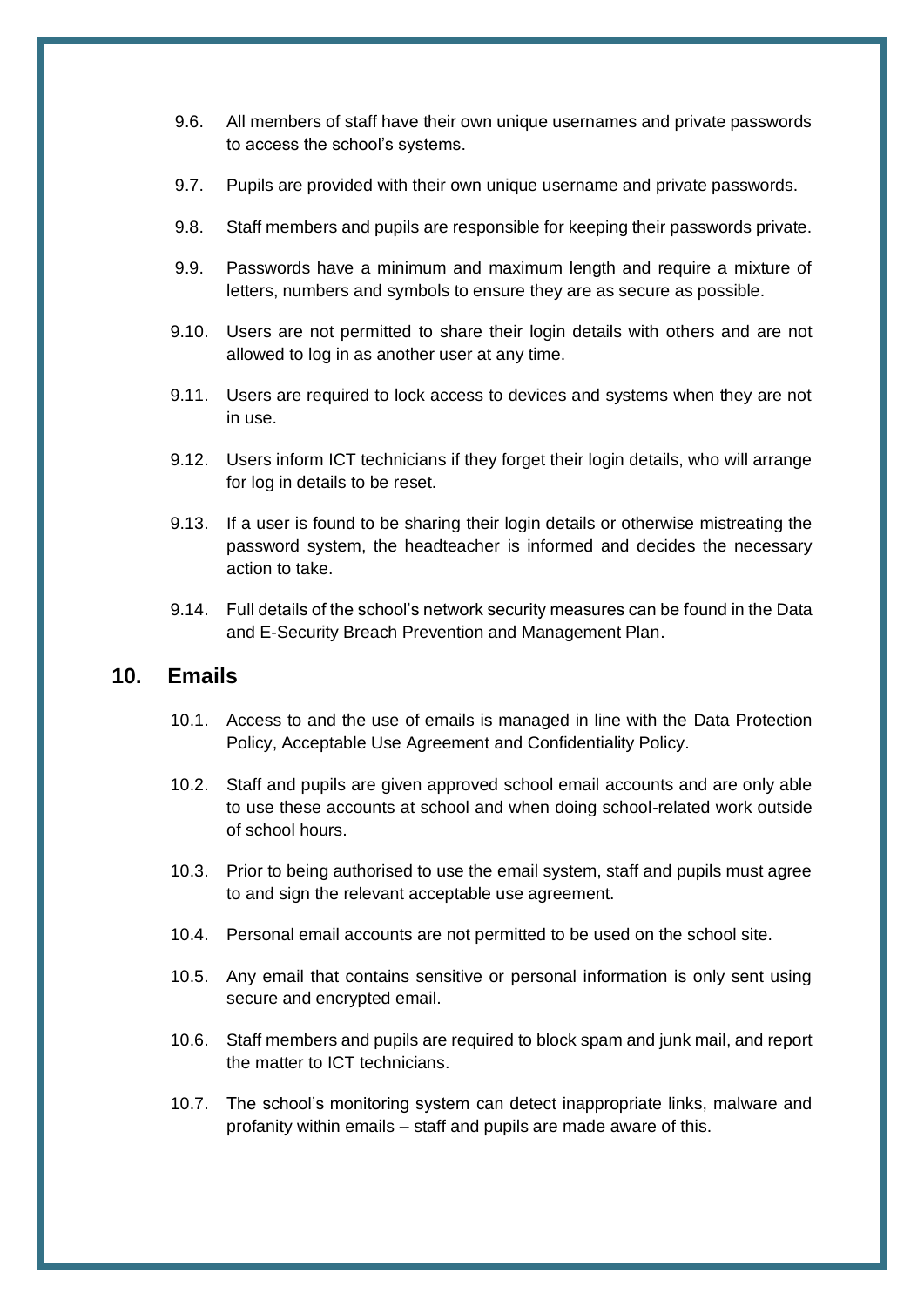- 9.6. All members of staff have their own unique usernames and private passwords to access the school's systems.
- 9.7. Pupils are provided with their own unique username and private passwords.
- 9.8. Staff members and pupils are responsible for keeping their passwords private.
- 9.9. Passwords have a minimum and maximum length and require a mixture of letters, numbers and symbols to ensure they are as secure as possible.
- 9.10. Users are not permitted to share their login details with others and are not allowed to log in as another user at any time.
- 9.11. Users are required to lock access to devices and systems when they are not in use.
- 9.12. Users inform ICT technicians if they forget their login details, who will arrange for log in details to be reset.
- 9.13. If a user is found to be sharing their login details or otherwise mistreating the password system, the headteacher is informed and decides the necessary action to take.
- 9.14. Full details of the school's network security measures can be found in the Data and E-Security Breach Prevention and Management Plan.

#### <span id="page-12-0"></span>**10. Emails**

- 10.1. Access to and the use of emails is managed in line with the Data Protection Policy, Acceptable Use Agreement and Confidentiality Policy.
- 10.2. Staff and pupils are given approved school email accounts and are only able to use these accounts at school and when doing school-related work outside of school hours.
- 10.3. Prior to being authorised to use the email system, staff and pupils must agree to and sign the relevant acceptable use agreement.
- 10.4. Personal email accounts are not permitted to be used on the school site.
- 10.5. Any email that contains sensitive or personal information is only sent using secure and encrypted email.
- 10.6. Staff members and pupils are required to block spam and junk mail, and report the matter to ICT technicians.
- 10.7. The school's monitoring system can detect inappropriate links, malware and profanity within emails – staff and pupils are made aware of this.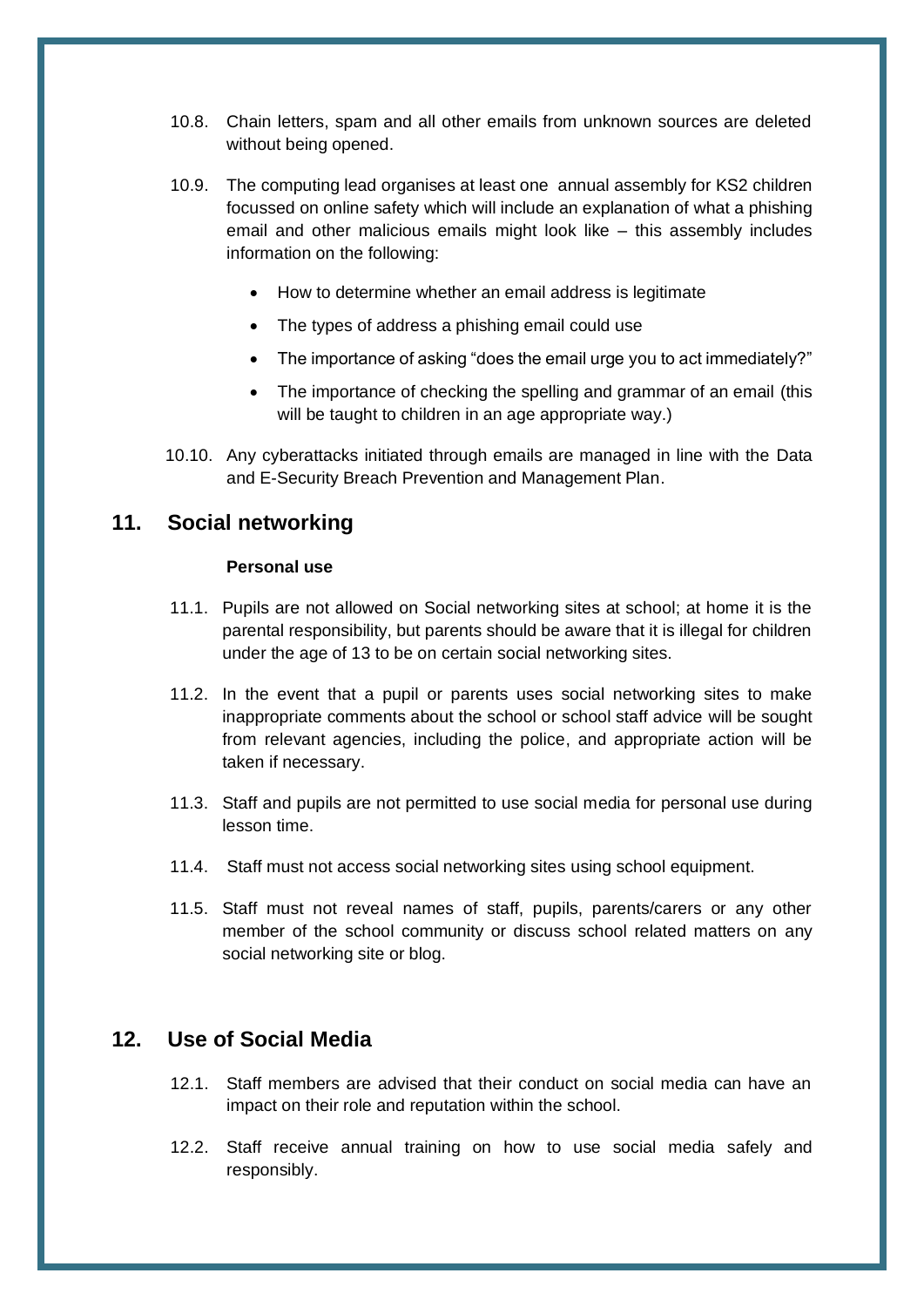- 10.8. Chain letters, spam and all other emails from unknown sources are deleted without being opened.
- 10.9. The computing lead organises at least one annual assembly for KS2 children focussed on online safety which will include an explanation of what a phishing email and other malicious emails might look like – this assembly includes information on the following:
	- How to determine whether an email address is legitimate
	- The types of address a phishing email could use
	- The importance of asking "does the email urge you to act immediately?"
	- The importance of checking the spelling and grammar of an email (this will be taught to children in an age appropriate way.)
- 10.10. Any cyberattacks initiated through emails are managed in line with the Data and E-Security Breach Prevention and Management Plan.

#### <span id="page-13-0"></span>**11. Social networking**

#### **Personal use**

- 11.1. Pupils are not allowed on Social networking sites at school; at home it is the parental responsibility, but parents should be aware that it is illegal for children under the age of 13 to be on certain social networking sites.
- 11.2. In the event that a pupil or parents uses social networking sites to make inappropriate comments about the school or school staff advice will be sought from relevant agencies, including the police, and appropriate action will be taken if necessary.
- 11.3. Staff and pupils are not permitted to use social media for personal use during lesson time.
- 11.4. Staff must not access social networking sites using school equipment.
- 11.5. Staff must not reveal names of staff, pupils, parents/carers or any other member of the school community or discuss school related matters on any social networking site or blog.

#### **12. Use of Social Media**

- 12.1. Staff members are advised that their conduct on social media can have an impact on their role and reputation within the school.
- 12.2. Staff receive annual training on how to use social media safely and responsibly.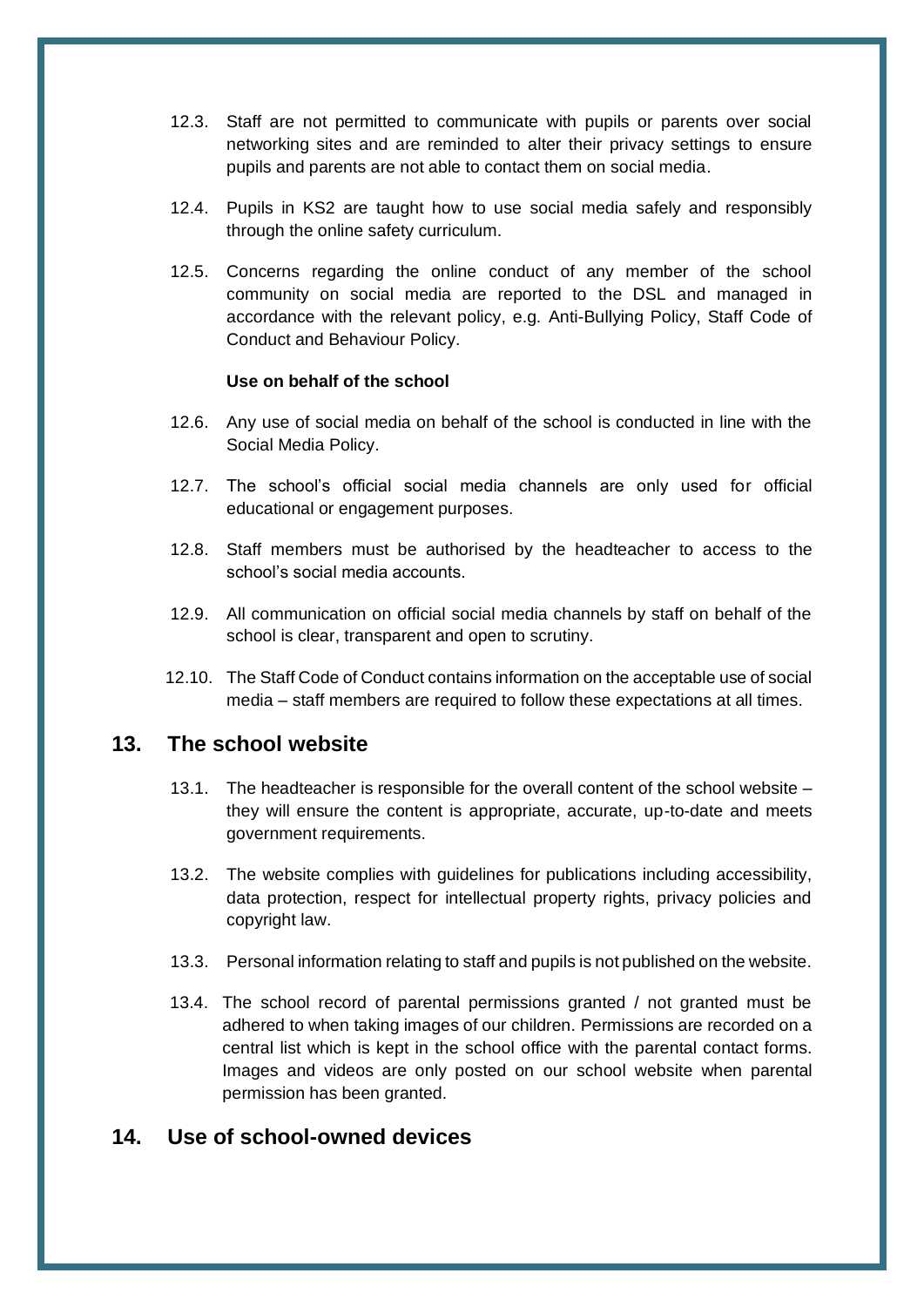- 12.3. Staff are not permitted to communicate with pupils or parents over social networking sites and are reminded to alter their privacy settings to ensure pupils and parents are not able to contact them on social media.
- 12.4. Pupils in KS2 are taught how to use social media safely and responsibly through the online safety curriculum.
- 12.5. Concerns regarding the online conduct of any member of the school community on social media are reported to the DSL and managed in accordance with the relevant policy, e.g. Anti-Bullying Policy, Staff Code of Conduct and Behaviour Policy.

#### **Use on behalf of the school**

- 12.6. Any use of social media on behalf of the school is conducted in line with the Social Media Policy.
- 12.7. The school's official social media channels are only used for official educational or engagement purposes.
- 12.8. Staff members must be authorised by the headteacher to access to the school's social media accounts.
- 12.9. All communication on official social media channels by staff on behalf of the school is clear, transparent and open to scrutiny.
- 12.10. The Staff Code of Conduct contains information on the acceptable use of social media – staff members are required to follow these expectations at all times.

#### <span id="page-14-0"></span>**13. The school website**

- 13.1. The headteacher is responsible for the overall content of the school website they will ensure the content is appropriate, accurate, up-to-date and meets government requirements.
- 13.2. The website complies with guidelines for publications including accessibility, data protection, respect for intellectual property rights, privacy policies and copyright law.
- 13.3. Personal information relating to staff and pupils is not published on the website.
- 13.4. The school record of parental permissions granted / not granted must be adhered to when taking images of our children. Permissions are recorded on a central list which is kept in the school office with the parental contact forms. Images and videos are only posted on our school website when parental permission has been granted.

#### <span id="page-14-1"></span>**14. Use of school-owned devices**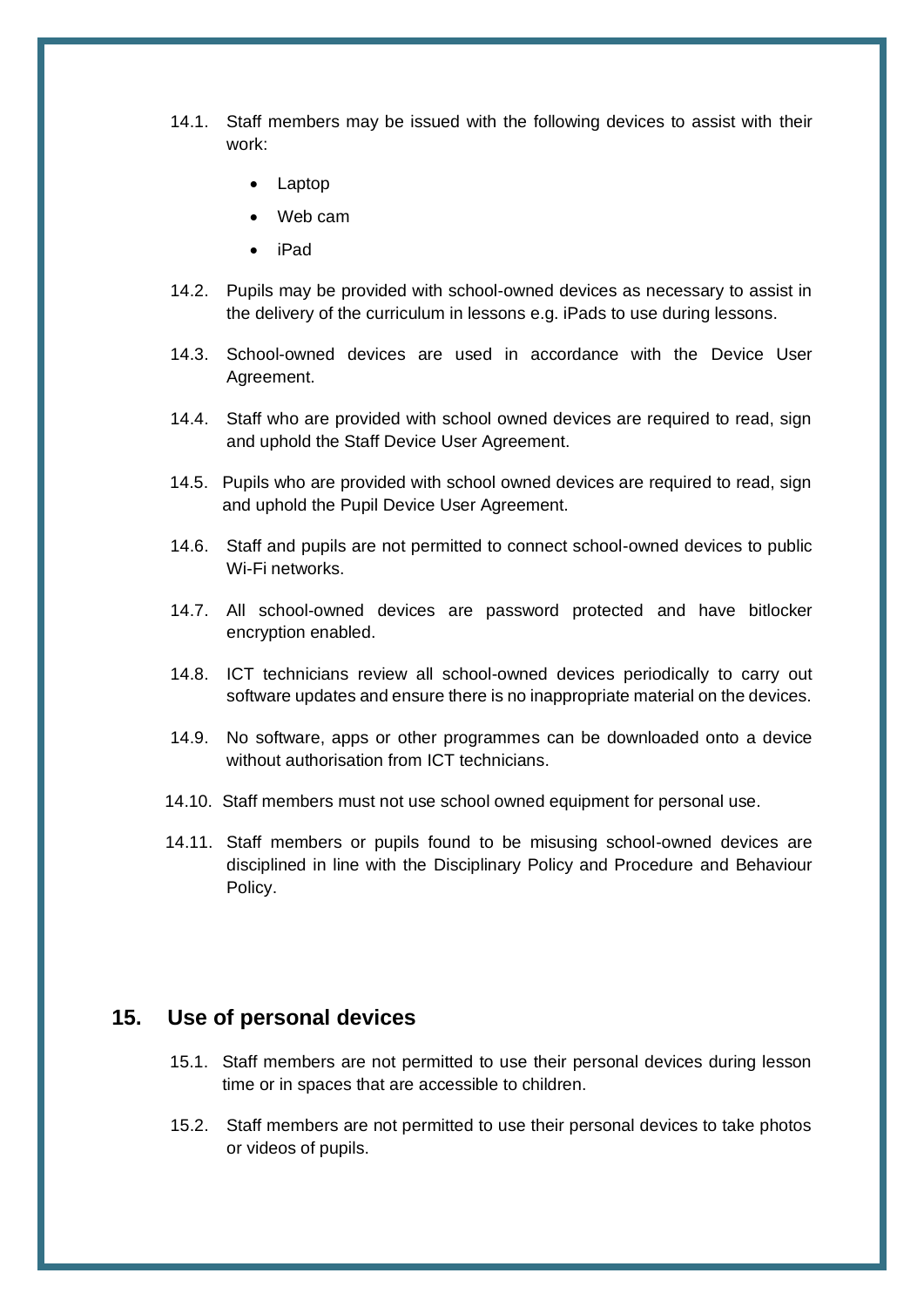- 14.1. Staff members may be issued with the following devices to assist with their work:
	- Laptop
	- Web cam
	- iPad
- 14.2. Pupils may be provided with school-owned devices as necessary to assist in the delivery of the curriculum in lessons e.g. iPads to use during lessons.
- 14.3. School-owned devices are used in accordance with the Device User Agreement.
- 14.4. Staff who are provided with school owned devices are required to read, sign and uphold the Staff Device User Agreement.
- 14.5. Pupils who are provided with school owned devices are required to read, sign and uphold the Pupil Device User Agreement.
- 14.6. Staff and pupils are not permitted to connect school-owned devices to public Wi-Fi networks.
- 14.7. All school-owned devices are password protected and have bitlocker encryption enabled.
- 14.8. ICT technicians review all school-owned devices periodically to carry out software updates and ensure there is no inappropriate material on the devices.
- 14.9. No software, apps or other programmes can be downloaded onto a device without authorisation from ICT technicians.
- 14.10. Staff members must not use school owned equipment for personal use.
- 14.11. Staff members or pupils found to be misusing school-owned devices are disciplined in line with the Disciplinary Policy and Procedure and Behaviour Policy.

#### <span id="page-15-0"></span>**15. Use of personal devices**

- 15.1. Staff members are not permitted to use their personal devices during lesson time or in spaces that are accessible to children.
- 15.2. Staff members are not permitted to use their personal devices to take photos or videos of pupils.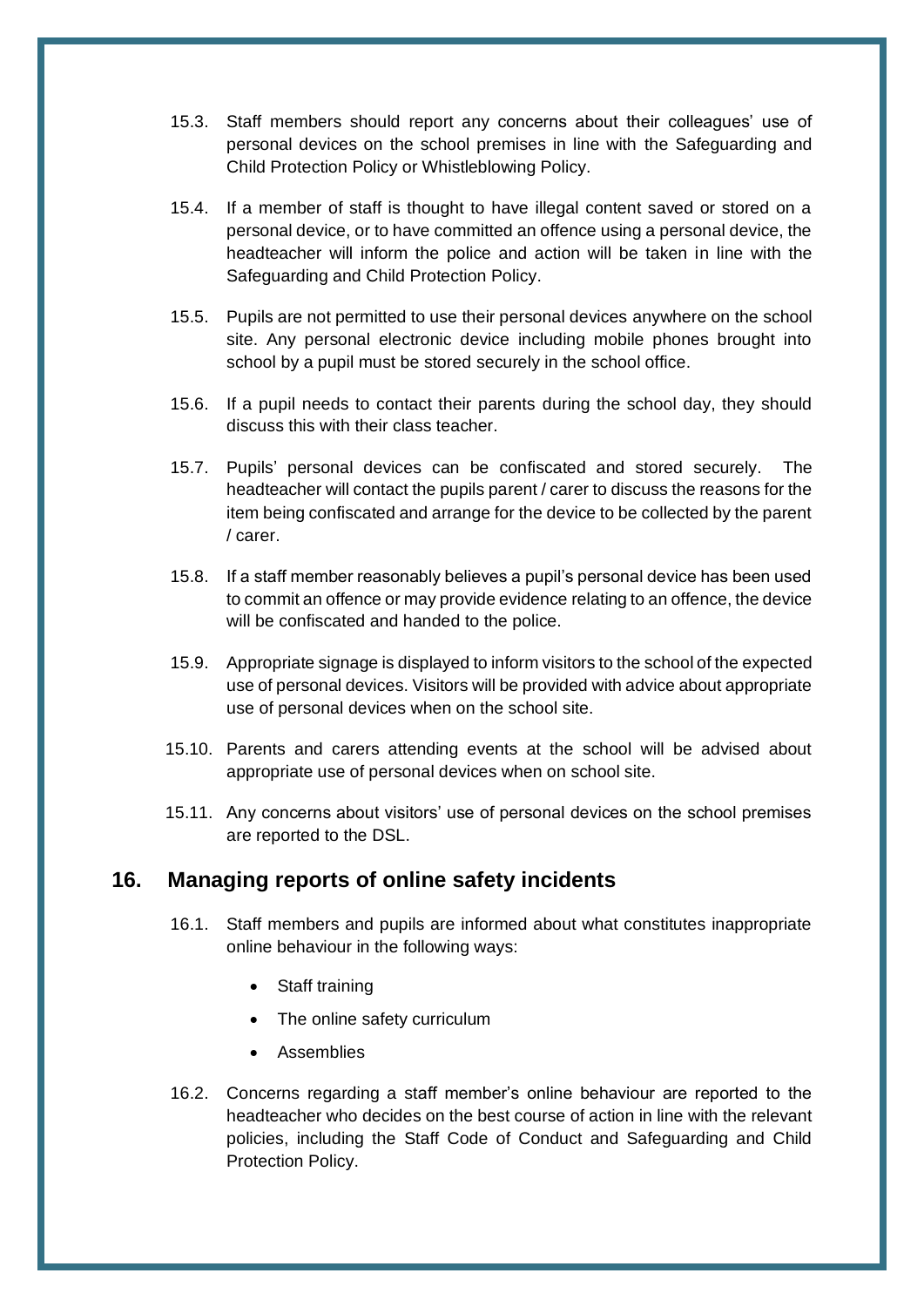- 15.3. Staff members should report any concerns about their colleagues' use of personal devices on the school premises in line with the Safeguarding and Child Protection Policy or Whistleblowing Policy.
- 15.4. If a member of staff is thought to have illegal content saved or stored on a personal device, or to have committed an offence using a personal device, the headteacher will inform the police and action will be taken in line with the Safeguarding and Child Protection Policy.
- 15.5. Pupils are not permitted to use their personal devices anywhere on the school site. Any personal electronic device including mobile phones brought into school by a pupil must be stored securely in the school office.
- 15.6. If a pupil needs to contact their parents during the school day, they should discuss this with their class teacher.
- 15.7. Pupils' personal devices can be confiscated and stored securely. The headteacher will contact the pupils parent / carer to discuss the reasons for the item being confiscated and arrange for the device to be collected by the parent / carer.
- 15.8. If a staff member reasonably believes a pupil's personal device has been used to commit an offence or may provide evidence relating to an offence, the device will be confiscated and handed to the police.
- 15.9. Appropriate signage is displayed to inform visitors to the school of the expected use of personal devices. Visitors will be provided with advice about appropriate use of personal devices when on the school site.
- 15.10. Parents and carers attending events at the school will be advised about appropriate use of personal devices when on school site.
- 15.11. Any concerns about visitors' use of personal devices on the school premises are reported to the DSL.

#### **16. Managing reports of online safety incidents**

- 16.1. Staff members and pupils are informed about what constitutes inappropriate online behaviour in the following ways:
	- Staff training
	- The online safety curriculum
	- **Assemblies**
- 16.2. Concerns regarding a staff member's online behaviour are reported to the headteacher who decides on the best course of action in line with the relevant policies, including the Staff Code of Conduct and Safeguarding and Child Protection Policy.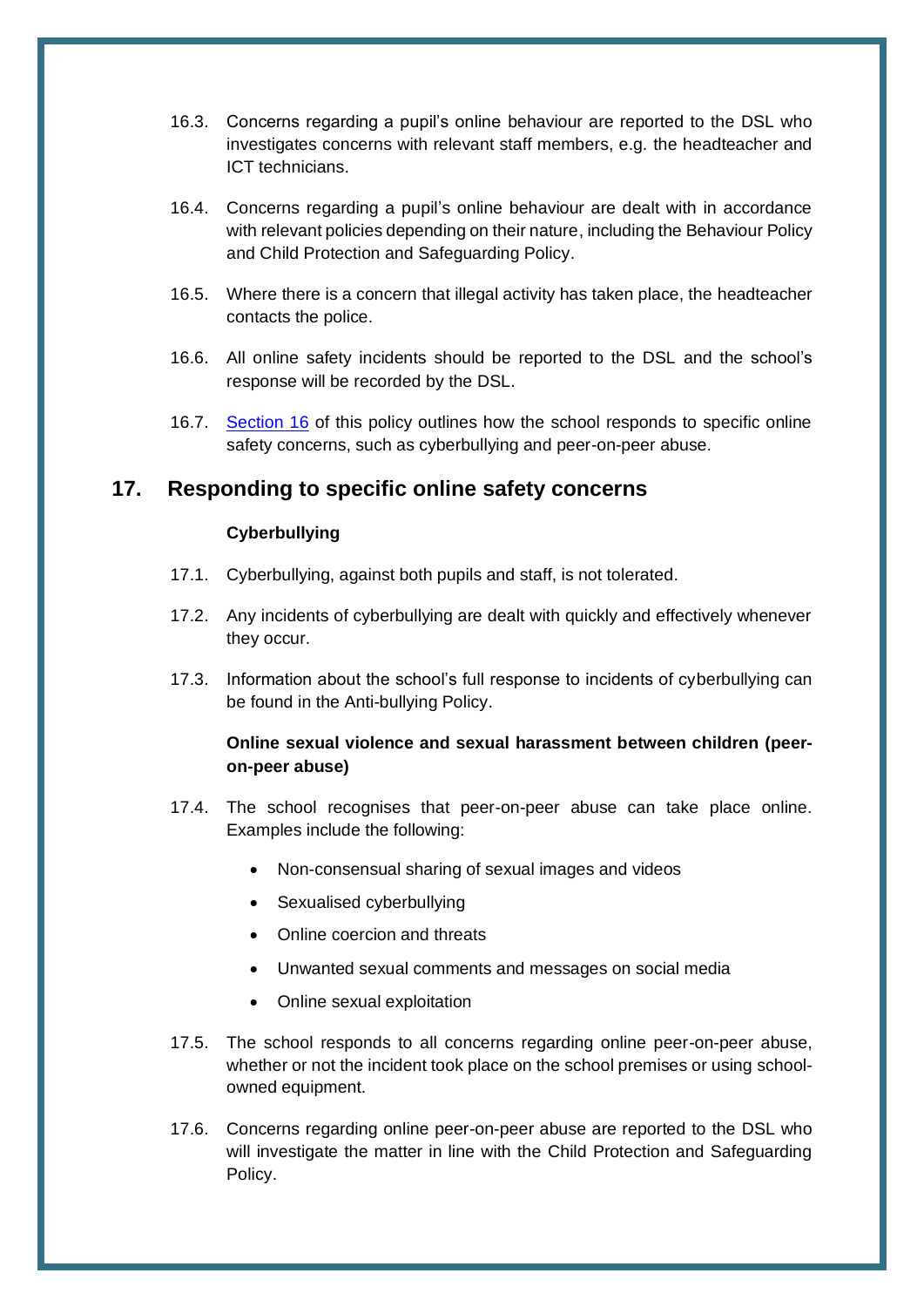- 16.3. Concerns regarding a pupil's online behaviour are reported to the DSL who investigates concerns with relevant staff members, e.g. the headteacher and ICT technicians.
- 16.4. Concerns regarding a pupil's online behaviour are dealt with in accordance with relevant policies depending on their nature, including the Behaviour Policy and Child Protection and Safeguarding Policy.
- 16.5. Where there is a concern that illegal activity has taken place, the headteacher contacts the police.
- 16.6. All online safety incidents should be reported to the DSL and the school's response will be recorded by the DSL.
- 16.7. [Section 16](#page-17-0) of this policy outlines how the school responds to specific online safety concerns, such as cyberbullying and peer-on-peer abuse.

#### <span id="page-17-0"></span>**17. Responding to specific online safety concerns**

#### **Cyberbullying**

- 17.1. Cyberbullying, against both pupils and staff, is not tolerated.
- 17.2. Any incidents of cyberbullying are dealt with quickly and effectively whenever they occur.
- 17.3. Information about the school's full response to incidents of cyberbullying can be found in the Anti-bullying Policy.

#### **Online sexual violence and sexual harassment between children (peeron-peer abuse)**

- 17.4. The school recognises that peer-on-peer abuse can take place online. Examples include the following:
	- Non-consensual sharing of sexual images and videos
	- Sexualised cyberbullying
	- Online coercion and threats
	- Unwanted sexual comments and messages on social media
	- Online sexual exploitation
- 17.5. The school responds to all concerns regarding online peer-on-peer abuse, whether or not the incident took place on the school premises or using schoolowned equipment.
- 17.6. Concerns regarding online peer-on-peer abuse are reported to the DSL who will investigate the matter in line with the Child Protection and Safeguarding Policy.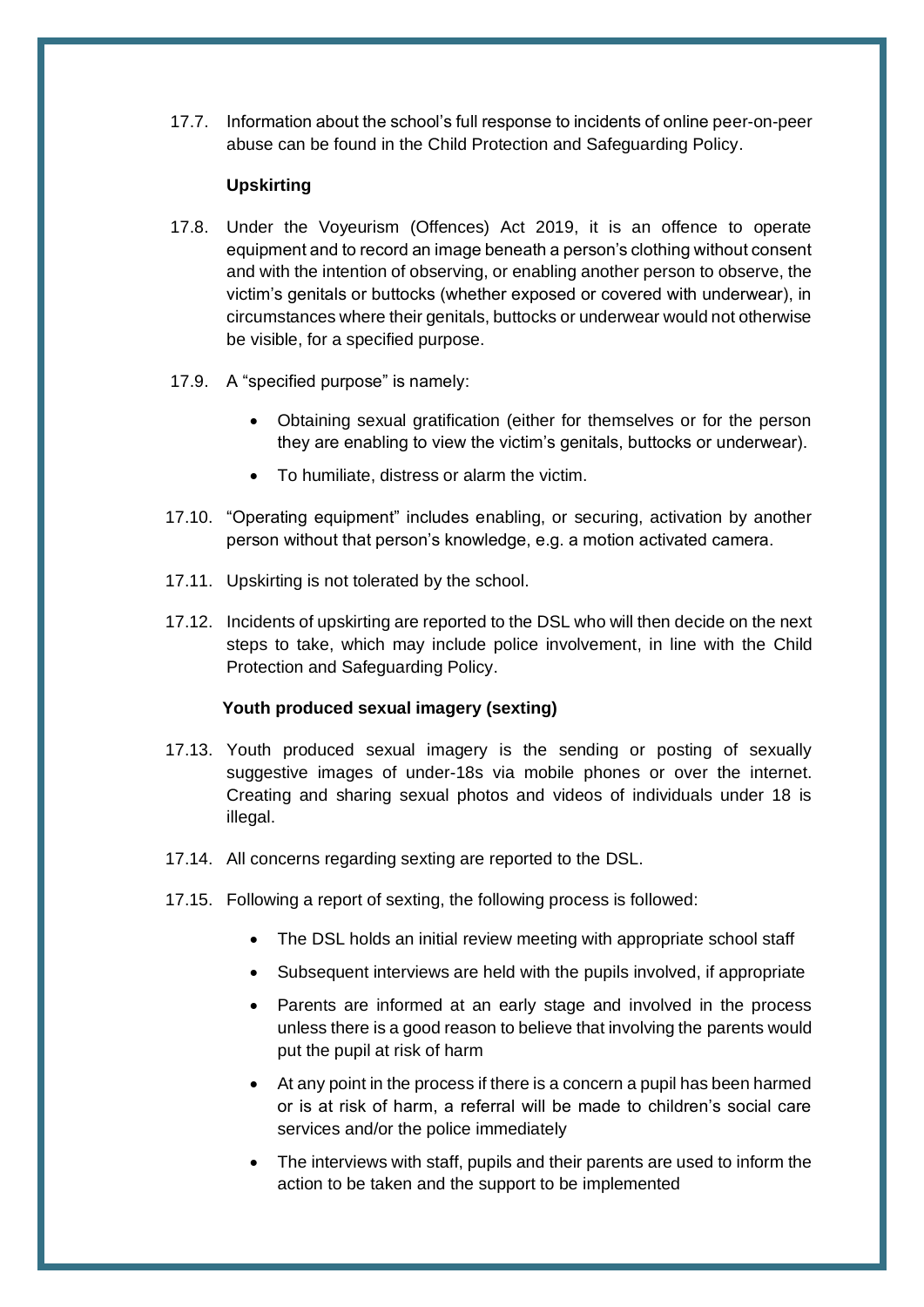17.7. Information about the school's full response to incidents of online peer-on-peer abuse can be found in the Child Protection and Safeguarding Policy.

#### **Upskirting**

- 17.8. Under the Voyeurism (Offences) Act 2019, it is an offence to operate equipment and to record an image beneath a person's clothing without consent and with the intention of observing, or enabling another person to observe, the victim's genitals or buttocks (whether exposed or covered with underwear), in circumstances where their genitals, buttocks or underwear would not otherwise be visible, for a specified purpose.
- 17.9. A "specified purpose" is namely:
	- Obtaining sexual gratification (either for themselves or for the person they are enabling to view the victim's genitals, buttocks or underwear).
	- To humiliate, distress or alarm the victim.
- 17.10. "Operating equipment" includes enabling, or securing, activation by another person without that person's knowledge, e.g. a motion activated camera.
- 17.11. Upskirting is not tolerated by the school.
- 17.12. Incidents of upskirting are reported to the DSL who will then decide on the next steps to take, which may include police involvement, in line with the Child Protection and Safeguarding Policy.

#### **Youth produced sexual imagery (sexting)**

- 17.13. Youth produced sexual imagery is the sending or posting of sexually suggestive images of under-18s via mobile phones or over the internet. Creating and sharing sexual photos and videos of individuals under 18 is illegal.
- 17.14. All concerns regarding sexting are reported to the DSL.
- 17.15. Following a report of sexting, the following process is followed:
	- The DSL holds an initial review meeting with appropriate school staff
	- Subsequent interviews are held with the pupils involved, if appropriate
	- Parents are informed at an early stage and involved in the process unless there is a good reason to believe that involving the parents would put the pupil at risk of harm
	- At any point in the process if there is a concern a pupil has been harmed or is at risk of harm, a referral will be made to children's social care services and/or the police immediately
	- The interviews with staff, pupils and their parents are used to inform the action to be taken and the support to be implemented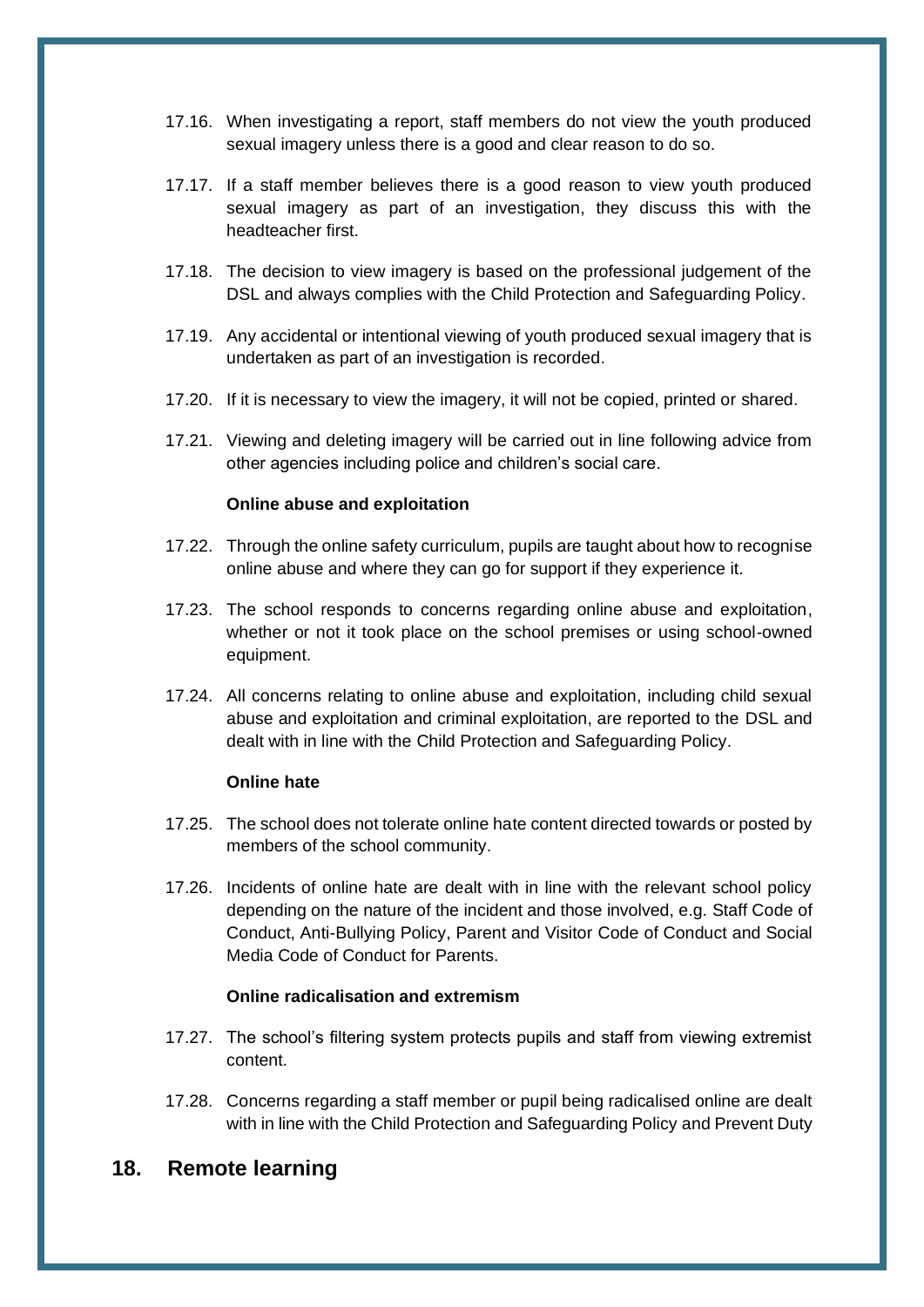- 17.16. When investigating a report, staff members do not view the youth produced sexual imagery unless there is a good and clear reason to do so.
- 17.17. If a staff member believes there is a good reason to view youth produced sexual imagery as part of an investigation, they discuss this with the headteacher first.
- 17.18. The decision to view imagery is based on the professional judgement of the DSL and always complies with the Child Protection and Safeguarding Policy.
- 17.19. Any accidental or intentional viewing of youth produced sexual imagery that is undertaken as part of an investigation is recorded.
- 17.20. If it is necessary to view the imagery, it will not be copied, printed or shared.
- 17.21. Viewing and deleting imagery will be carried out in line following advice from other agencies including police and children's social care.

#### **Online abuse and exploitation**

- 17.22. Through the online safety curriculum, pupils are taught about how to recognise online abuse and where they can go for support if they experience it.
- 17.23. The school responds to concerns regarding online abuse and exploitation, whether or not it took place on the school premises or using school-owned equipment.
- 17.24. All concerns relating to online abuse and exploitation, including child sexual abuse and exploitation and criminal exploitation, are reported to the DSL and dealt with in line with the Child Protection and Safeguarding Policy.

#### **Online hate**

- 17.25. The school does not tolerate online hate content directed towards or posted by members of the school community.
- 17.26. Incidents of online hate are dealt with in line with the relevant school policy depending on the nature of the incident and those involved, e.g. Staff Code of Conduct, Anti-Bullying Policy, Parent and Visitor Code of Conduct and Social Media Code of Conduct for Parents.

#### **Online radicalisation and extremism**

- 17.27. The school's filtering system protects pupils and staff from viewing extremist content.
- 17.28. Concerns regarding a staff member or pupil being radicalised online are dealt with in line with the Child Protection and Safeguarding Policy and Prevent Duty

#### <span id="page-19-0"></span>**18. Remote learning**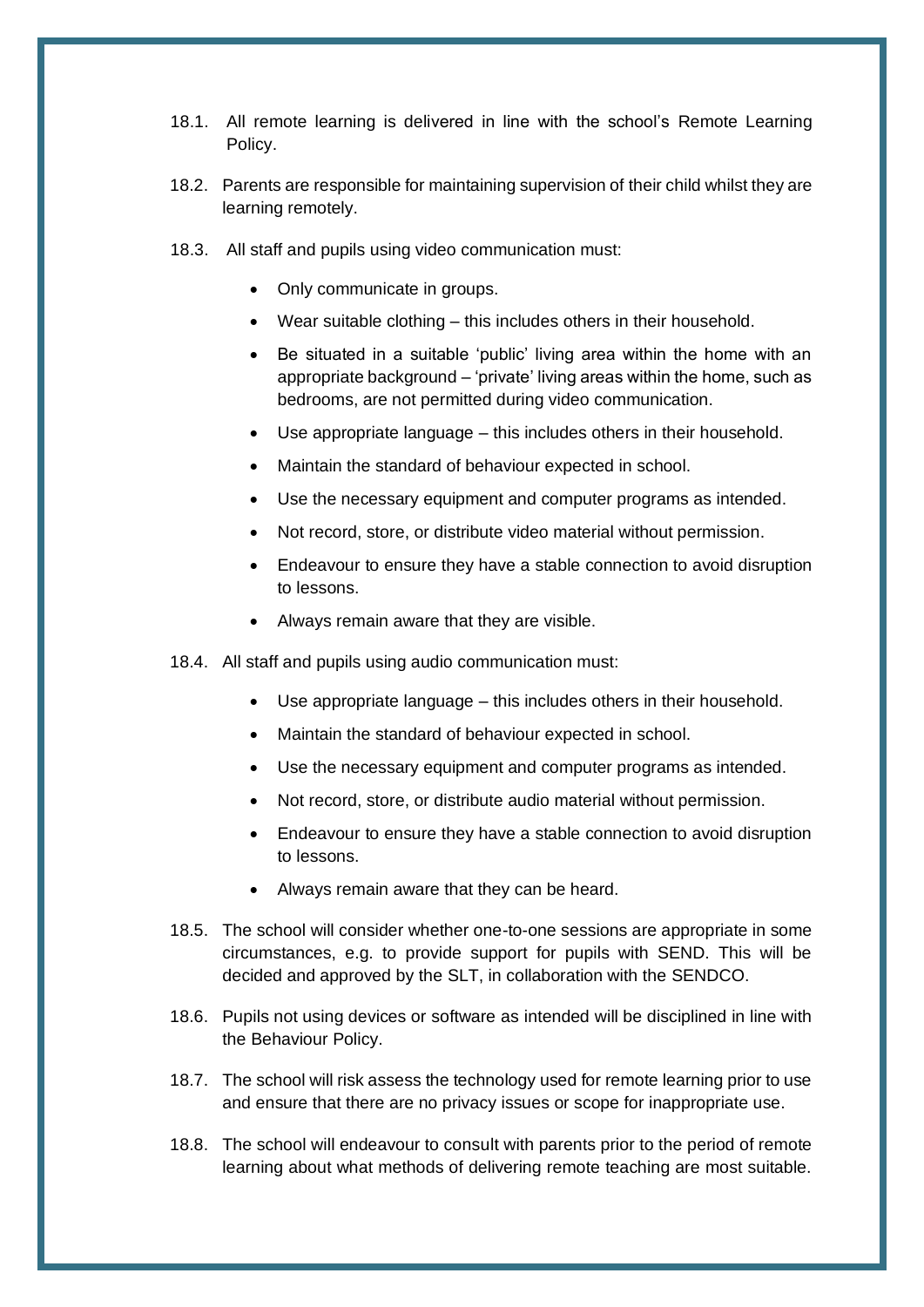- 18.1. All remote learning is delivered in line with the school's Remote Learning Policy.
- 18.2. Parents are responsible for maintaining supervision of their child whilst they are learning remotely.
- 18.3. All staff and pupils using video communication must:
	- Only communicate in groups.
	- Wear suitable clothing this includes others in their household.
	- Be situated in a suitable 'public' living area within the home with an appropriate background – 'private' living areas within the home, such as bedrooms, are not permitted during video communication.
	- Use appropriate language this includes others in their household.
	- Maintain the standard of behaviour expected in school.
	- Use the necessary equipment and computer programs as intended.
	- Not record, store, or distribute video material without permission.
	- Endeavour to ensure they have a stable connection to avoid disruption to lessons.
	- Always remain aware that they are visible.
- 18.4. All staff and pupils using audio communication must:
	- Use appropriate language this includes others in their household.
	- Maintain the standard of behaviour expected in school.
	- Use the necessary equipment and computer programs as intended.
	- Not record, store, or distribute audio material without permission.
	- Endeavour to ensure they have a stable connection to avoid disruption to lessons.
	- Always remain aware that they can be heard.
- 18.5. The school will consider whether one-to-one sessions are appropriate in some circumstances, e.g. to provide support for pupils with SEND. This will be decided and approved by the SLT, in collaboration with the SENDCO.
- 18.6. Pupils not using devices or software as intended will be disciplined in line with the Behaviour Policy.
- 18.7. The school will risk assess the technology used for remote learning prior to use and ensure that there are no privacy issues or scope for inappropriate use.
- 18.8. The school will endeavour to consult with parents prior to the period of remote learning about what methods of delivering remote teaching are most suitable.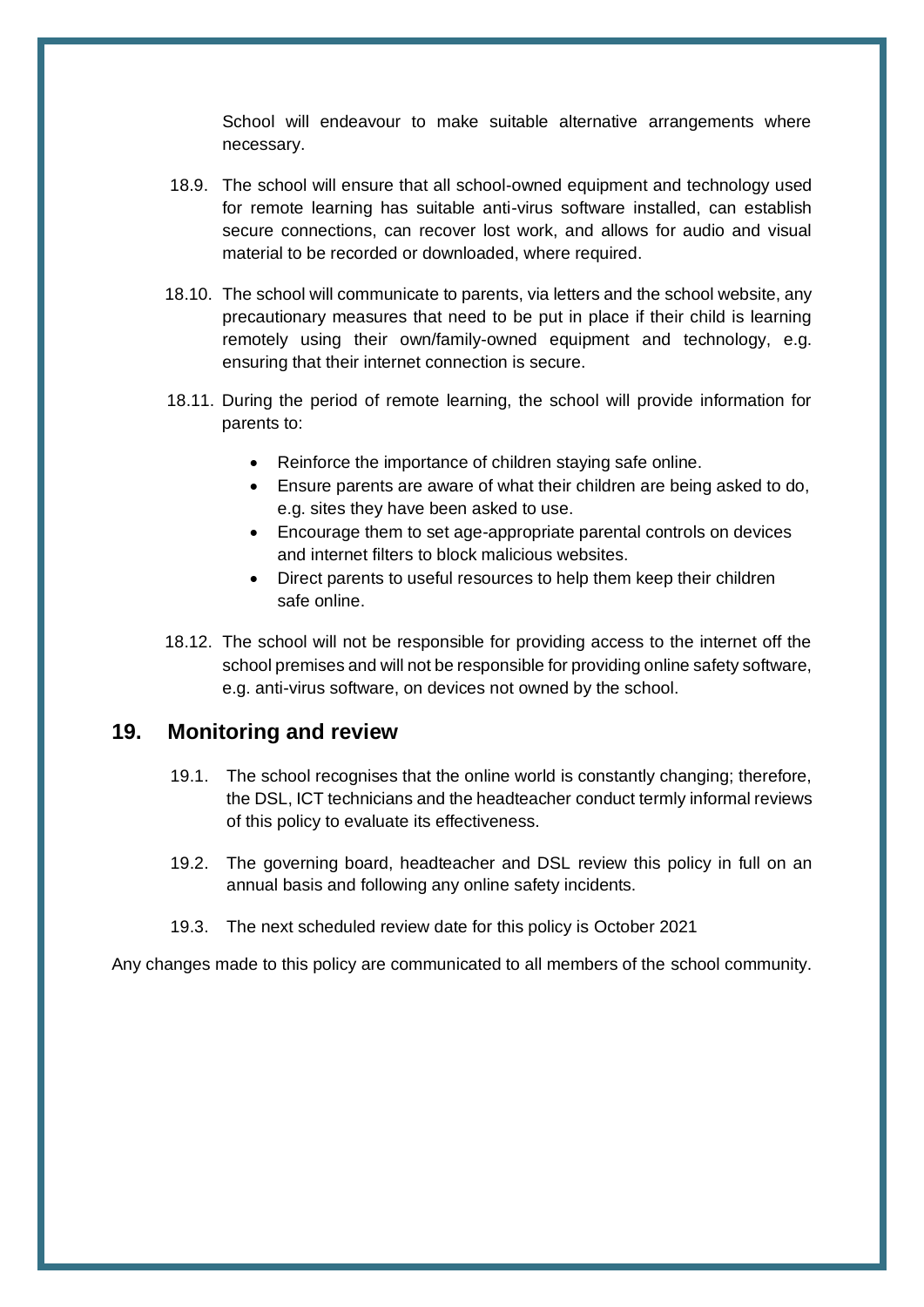School will endeavour to make suitable alternative arrangements where necessary.

- 18.9. The school will ensure that all school-owned equipment and technology used for remote learning has suitable anti-virus software installed, can establish secure connections, can recover lost work, and allows for audio and visual material to be recorded or downloaded, where required.
- 18.10. The school will communicate to parents, via letters and the school website, any precautionary measures that need to be put in place if their child is learning remotely using their own/family-owned equipment and technology, e.g. ensuring that their internet connection is secure.
- 18.11. During the period of remote learning, the school will provide information for parents to:
	- Reinforce the importance of children staying safe online.
	- Ensure parents are aware of what their children are being asked to do, e.g. sites they have been asked to use.
	- Encourage them to set age-appropriate parental controls on devices and internet filters to block malicious websites.
	- Direct parents to useful resources to help them keep their children safe online.
- 18.12. The school will not be responsible for providing access to the internet off the school premises and will not be responsible for providing online safety software, e.g. anti-virus software, on devices not owned by the school.

#### **19. Monitoring and review**

- 19.1. The school recognises that the online world is constantly changing; therefore, the DSL, ICT technicians and the headteacher conduct termly informal reviews of this policy to evaluate its effectiveness.
- 19.2. The governing board, headteacher and DSL review this policy in full on an annual basis and following any online safety incidents.
- 19.3. The next scheduled review date for this policy is October 2021

Any changes made to this policy are communicated to all members of the school community.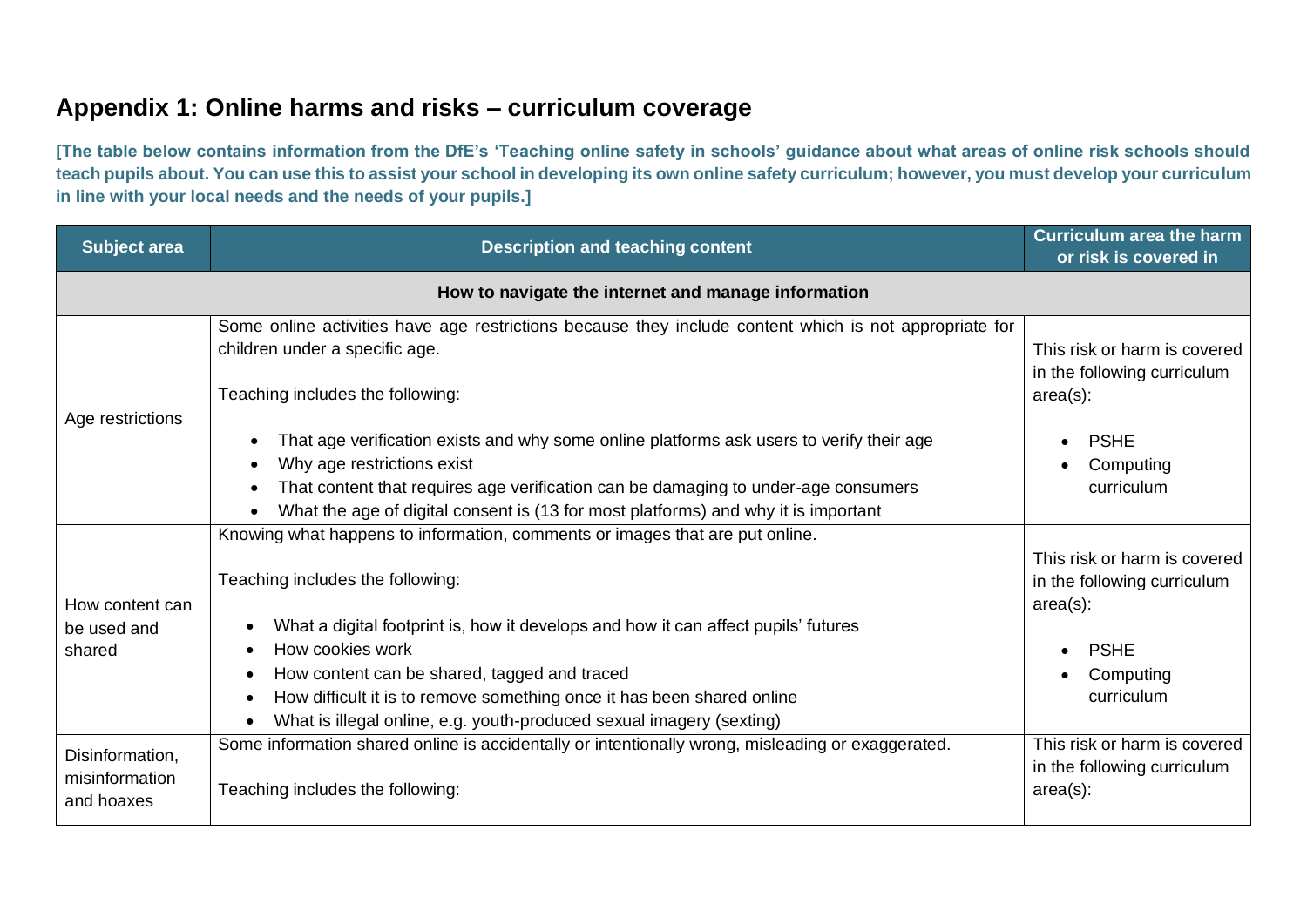# **Appendix 1: Online harms and risks – curriculum coverage**

**[The table below contains information from the DfE's 'Teaching online safety in schools' guidance about what areas of online risk schools should teach pupils about. You can use this to assist your school in developing its own online safety curriculum; however, you must develop your curriculum in line with your local needs and the needs of your pupils.]** 

<span id="page-22-0"></span>

| <b>Subject area</b>                             | <b>Description and teaching content</b>                                                                                                                                                                                                                                                                                      | <b>Curriculum area the harm</b><br>or risk is covered in                                               |
|-------------------------------------------------|------------------------------------------------------------------------------------------------------------------------------------------------------------------------------------------------------------------------------------------------------------------------------------------------------------------------------|--------------------------------------------------------------------------------------------------------|
|                                                 |                                                                                                                                                                                                                                                                                                                              |                                                                                                        |
| Age restrictions                                | Some online activities have age restrictions because they include content which is not appropriate for<br>children under a specific age.<br>Teaching includes the following:                                                                                                                                                 | This risk or harm is covered<br>in the following curriculum<br>$area(s)$ :                             |
|                                                 | That age verification exists and why some online platforms ask users to verify their age<br>$\bullet$<br>Why age restrictions exist<br>That content that requires age verification can be damaging to under-age consumers<br>$\bullet$<br>What the age of digital consent is (13 for most platforms) and why it is important | <b>PSHE</b><br>Computing<br>curriculum                                                                 |
| How content can<br>be used and<br>shared        | Knowing what happens to information, comments or images that are put online.<br>Teaching includes the following:<br>What a digital footprint is, how it develops and how it can affect pupils' futures<br>How cookies work<br>How content can be shared, tagged and traced                                                   | This risk or harm is covered<br>in the following curriculum<br>$area(s)$ :<br><b>PSHE</b><br>Computing |
| Disinformation,<br>misinformation<br>and hoaxes | How difficult it is to remove something once it has been shared online<br>What is illegal online, e.g. youth-produced sexual imagery (sexting)<br>Some information shared online is accidentally or intentionally wrong, misleading or exaggerated.<br>Teaching includes the following:                                      | curriculum<br>This risk or harm is covered<br>in the following curriculum<br>$area(s)$ :               |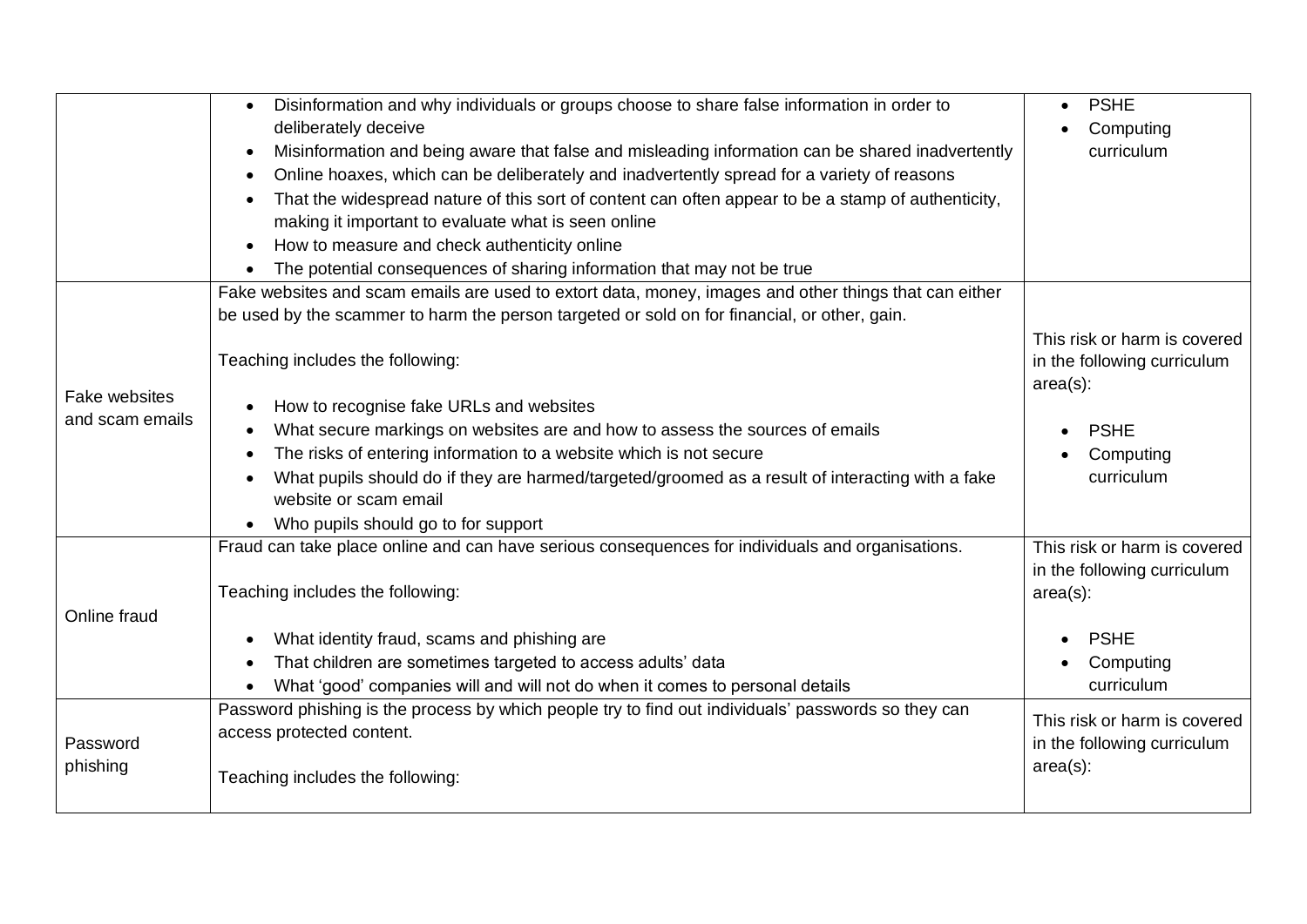|                 | Disinformation and why individuals or groups choose to share false information in order to            | <b>PSHE</b>                  |
|-----------------|-------------------------------------------------------------------------------------------------------|------------------------------|
|                 | deliberately deceive                                                                                  | Computing                    |
|                 | Misinformation and being aware that false and misleading information can be shared inadvertently      | curriculum                   |
|                 | Online hoaxes, which can be deliberately and inadvertently spread for a variety of reasons            |                              |
|                 | That the widespread nature of this sort of content can often appear to be a stamp of authenticity,    |                              |
|                 | making it important to evaluate what is seen online                                                   |                              |
|                 | How to measure and check authenticity online                                                          |                              |
|                 | The potential consequences of sharing information that may not be true                                |                              |
|                 | Fake websites and scam emails are used to extort data, money, images and other things that can either |                              |
|                 | be used by the scammer to harm the person targeted or sold on for financial, or other, gain.          |                              |
|                 |                                                                                                       | This risk or harm is covered |
|                 | Teaching includes the following:                                                                      | in the following curriculum  |
| Fake websites   |                                                                                                       | $area(s)$ :                  |
| and scam emails | How to recognise fake URLs and websites                                                               |                              |
|                 | What secure markings on websites are and how to assess the sources of emails                          | <b>PSHE</b>                  |
|                 | The risks of entering information to a website which is not secure                                    | Computing                    |
|                 | What pupils should do if they are harmed/targeted/groomed as a result of interacting with a fake      | curriculum                   |
|                 | website or scam email                                                                                 |                              |
|                 | Who pupils should go to for support                                                                   |                              |
|                 | Fraud can take place online and can have serious consequences for individuals and organisations.      | This risk or harm is covered |
|                 |                                                                                                       | in the following curriculum  |
|                 | Teaching includes the following:                                                                      | $area(s)$ :                  |
| Online fraud    |                                                                                                       |                              |
|                 | What identity fraud, scams and phishing are                                                           | <b>PSHE</b>                  |
|                 | That children are sometimes targeted to access adults' data                                           | Computing                    |
|                 | What 'good' companies will and will not do when it comes to personal details                          | curriculum                   |
|                 | Password phishing is the process by which people try to find out individuals' passwords so they can   | This risk or harm is covered |
| Password        | access protected content.                                                                             | in the following curriculum  |
| phishing        |                                                                                                       | $area(s)$ :                  |
|                 | Teaching includes the following:                                                                      |                              |
|                 |                                                                                                       |                              |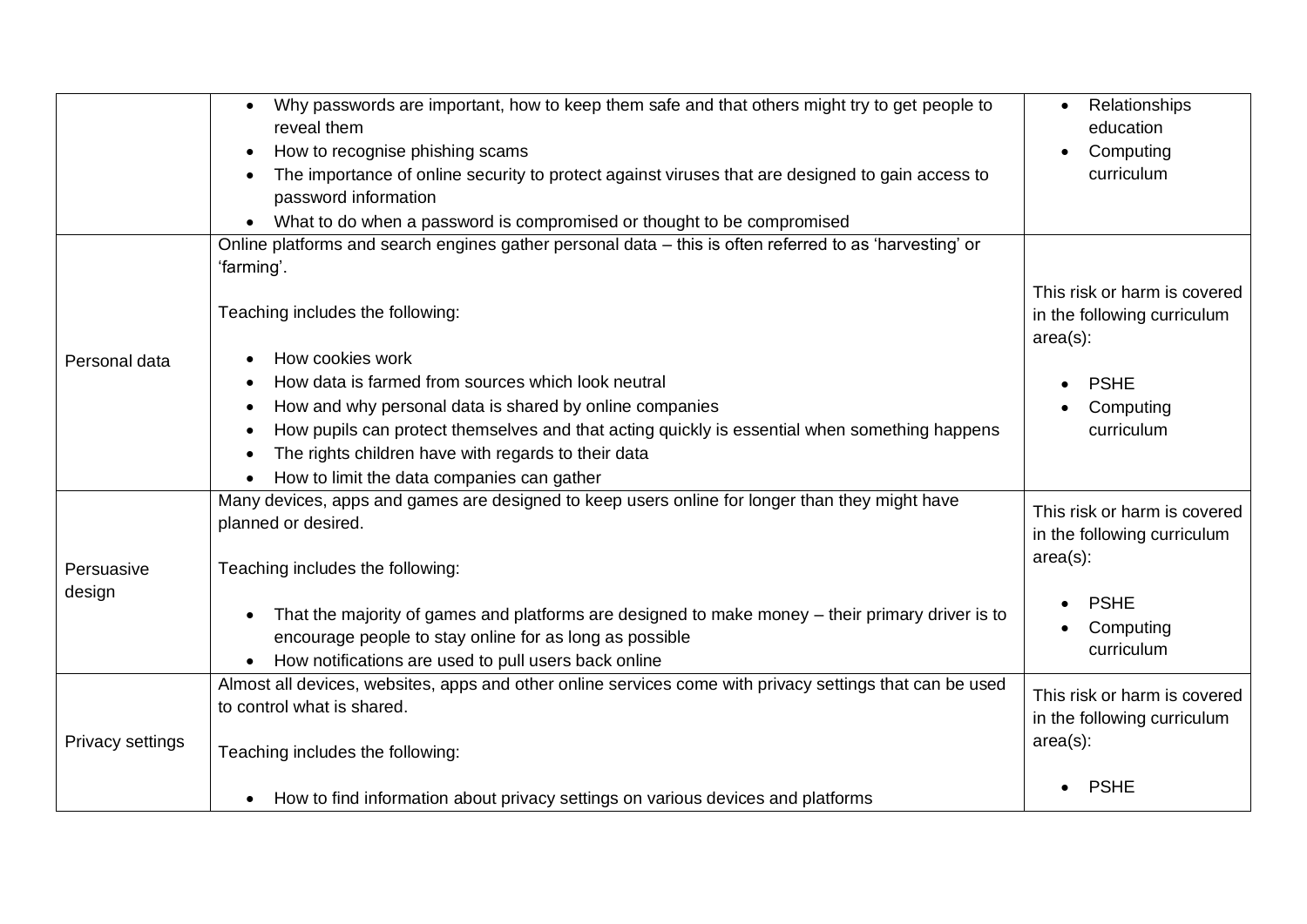|                  | Why passwords are important, how to keep them safe and that others might try to get people to<br>reveal them<br>How to recognise phishing scams<br>The importance of online security to protect against viruses that are designed to gain access to<br>password information<br>What to do when a password is compromised or thought to be compromised<br>$\bullet$ | Relationships<br>education<br>Computing<br>curriculum                      |
|------------------|--------------------------------------------------------------------------------------------------------------------------------------------------------------------------------------------------------------------------------------------------------------------------------------------------------------------------------------------------------------------|----------------------------------------------------------------------------|
|                  | Online platforms and search engines gather personal data - this is often referred to as 'harvesting' or<br>'farming'.                                                                                                                                                                                                                                              |                                                                            |
|                  | Teaching includes the following:                                                                                                                                                                                                                                                                                                                                   | This risk or harm is covered<br>in the following curriculum<br>$area(s)$ : |
| Personal data    | How cookies work                                                                                                                                                                                                                                                                                                                                                   |                                                                            |
|                  | How data is farmed from sources which look neutral                                                                                                                                                                                                                                                                                                                 | <b>PSHE</b>                                                                |
|                  | How and why personal data is shared by online companies                                                                                                                                                                                                                                                                                                            | Computing                                                                  |
|                  | How pupils can protect themselves and that acting quickly is essential when something happens                                                                                                                                                                                                                                                                      | curriculum                                                                 |
|                  | The rights children have with regards to their data                                                                                                                                                                                                                                                                                                                |                                                                            |
|                  | How to limit the data companies can gather                                                                                                                                                                                                                                                                                                                         |                                                                            |
|                  | Many devices, apps and games are designed to keep users online for longer than they might have<br>planned or desired.                                                                                                                                                                                                                                              | This risk or harm is covered<br>in the following curriculum                |
| Persuasive       | Teaching includes the following:                                                                                                                                                                                                                                                                                                                                   | $area(s)$ :                                                                |
| design           | That the majority of games and platforms are designed to make money - their primary driver is to<br>encourage people to stay online for as long as possible<br>How notifications are used to pull users back online                                                                                                                                                | <b>PSHE</b><br>Computing<br>curriculum                                     |
|                  | Almost all devices, websites, apps and other online services come with privacy settings that can be used                                                                                                                                                                                                                                                           | This risk or harm is covered                                               |
|                  | to control what is shared.                                                                                                                                                                                                                                                                                                                                         | in the following curriculum                                                |
| Privacy settings | Teaching includes the following:                                                                                                                                                                                                                                                                                                                                   | $area(s)$ :                                                                |
|                  | • How to find information about privacy settings on various devices and platforms                                                                                                                                                                                                                                                                                  | <b>PSHE</b>                                                                |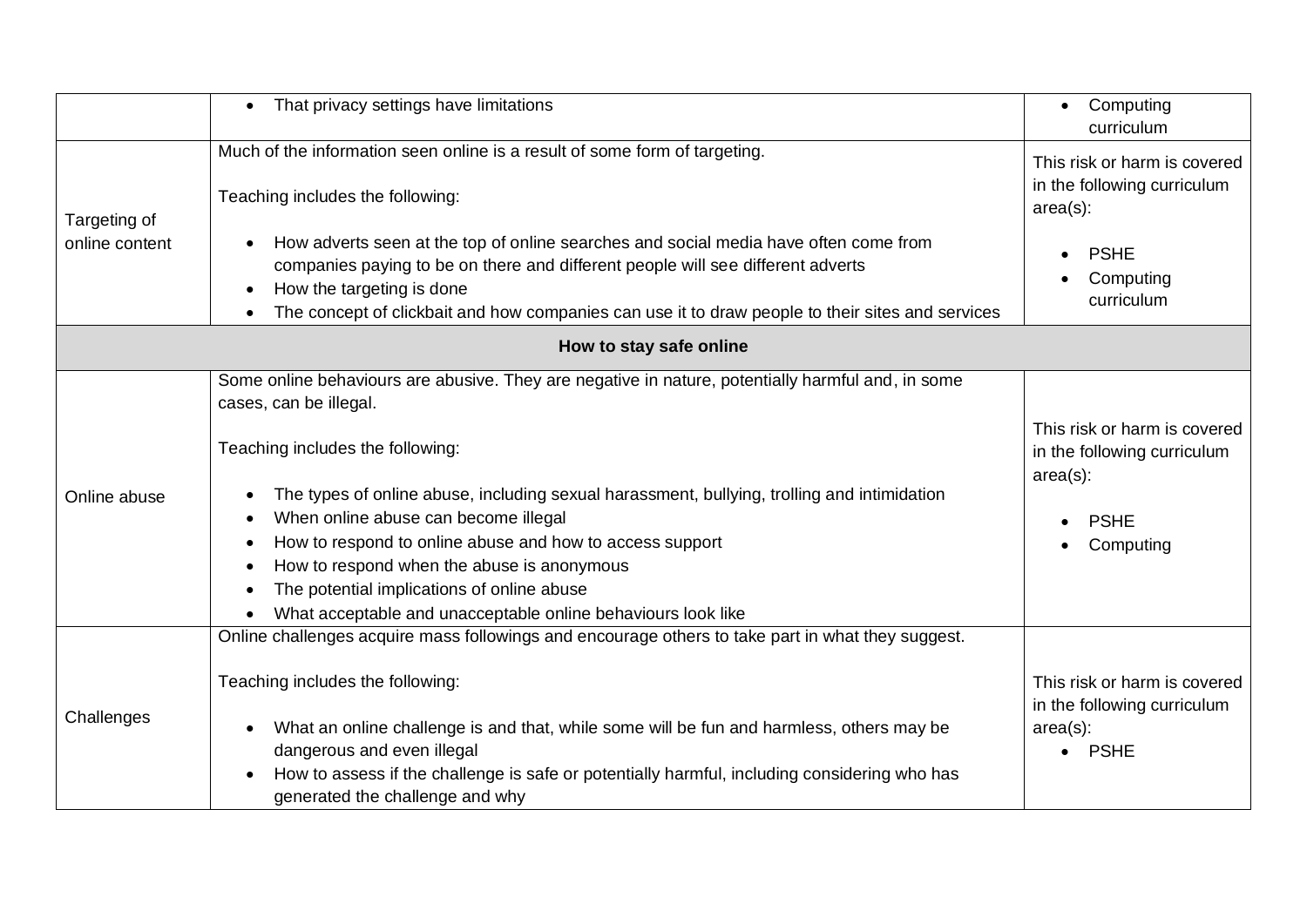|                | That privacy settings have limitations<br>$\bullet$                                                                                                                                                                                                                                                                                                                                                                                                                                                                            | Computing<br>$\bullet$<br>curriculum                                                                   |
|----------------|--------------------------------------------------------------------------------------------------------------------------------------------------------------------------------------------------------------------------------------------------------------------------------------------------------------------------------------------------------------------------------------------------------------------------------------------------------------------------------------------------------------------------------|--------------------------------------------------------------------------------------------------------|
| Targeting of   | Much of the information seen online is a result of some form of targeting.<br>Teaching includes the following:                                                                                                                                                                                                                                                                                                                                                                                                                 | This risk or harm is covered<br>in the following curriculum<br>$area(s)$ :                             |
| online content | How adverts seen at the top of online searches and social media have often come from<br>companies paying to be on there and different people will see different adverts<br>How the targeting is done<br>The concept of clickbait and how companies can use it to draw people to their sites and services                                                                                                                                                                                                                       | <b>PSHE</b><br>Computing<br>curriculum                                                                 |
|                | How to stay safe online                                                                                                                                                                                                                                                                                                                                                                                                                                                                                                        |                                                                                                        |
| Online abuse   | Some online behaviours are abusive. They are negative in nature, potentially harmful and, in some<br>cases, can be illegal.<br>Teaching includes the following:<br>The types of online abuse, including sexual harassment, bullying, trolling and intimidation<br>When online abuse can become illegal<br>How to respond to online abuse and how to access support<br>How to respond when the abuse is anonymous<br>The potential implications of online abuse<br>What acceptable and unacceptable online behaviours look like | This risk or harm is covered<br>in the following curriculum<br>$area(s)$ :<br><b>PSHE</b><br>Computing |
| Challenges     | Online challenges acquire mass followings and encourage others to take part in what they suggest.<br>Teaching includes the following:<br>What an online challenge is and that, while some will be fun and harmless, others may be<br>dangerous and even illegal<br>How to assess if the challenge is safe or potentially harmful, including considering who has<br>generated the challenge and why                                                                                                                             | This risk or harm is covered<br>in the following curriculum<br>$area(s)$ :<br><b>PSHE</b><br>$\bullet$ |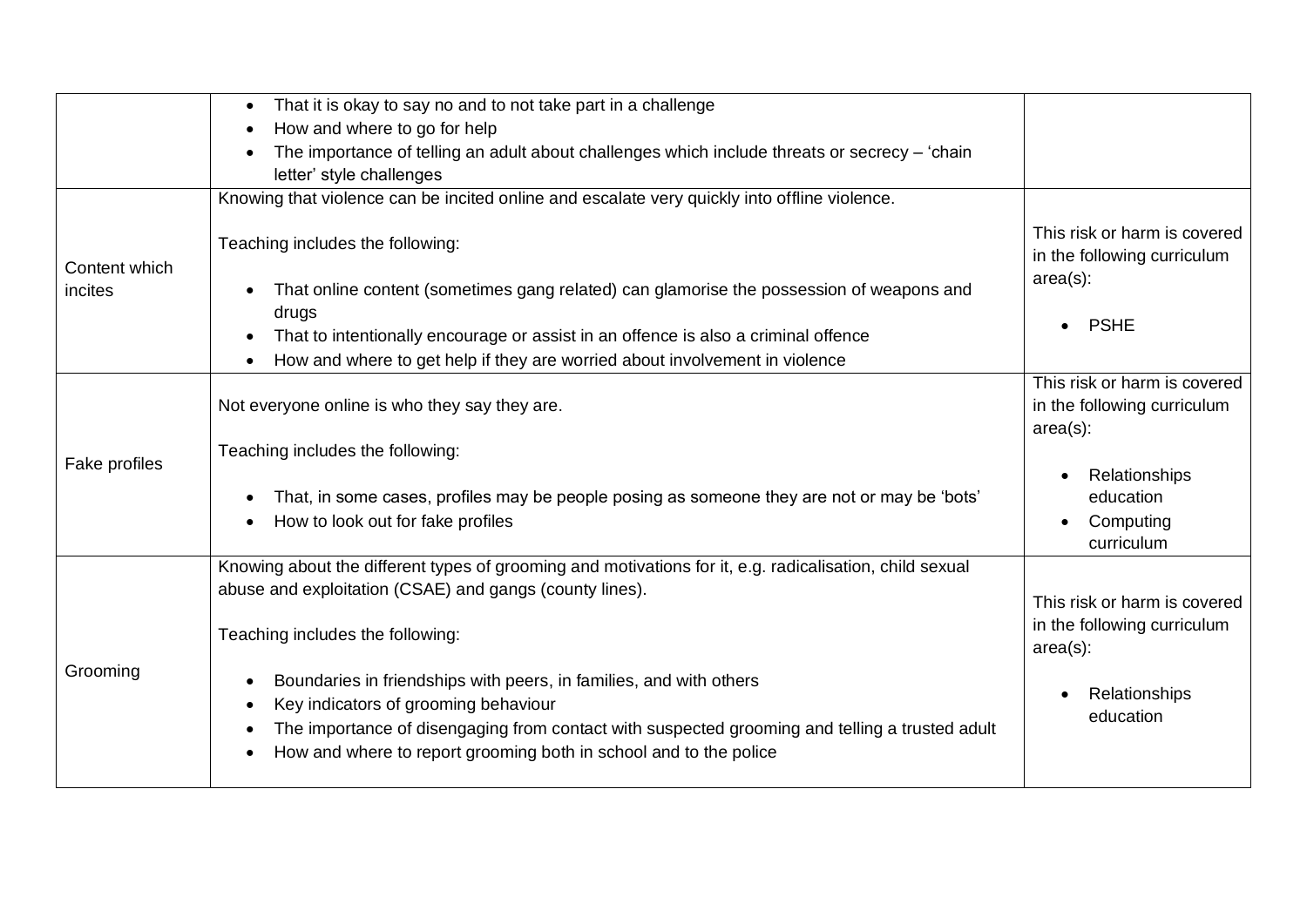|               | That it is okay to say no and to not take part in a challenge                                                                                                                                                                                                                     |                                                                            |
|---------------|-----------------------------------------------------------------------------------------------------------------------------------------------------------------------------------------------------------------------------------------------------------------------------------|----------------------------------------------------------------------------|
|               | How and where to go for help                                                                                                                                                                                                                                                      |                                                                            |
|               | The importance of telling an adult about challenges which include threats or secrecy - 'chain                                                                                                                                                                                     |                                                                            |
|               | letter' style challenges                                                                                                                                                                                                                                                          |                                                                            |
|               | Knowing that violence can be incited online and escalate very quickly into offline violence.                                                                                                                                                                                      |                                                                            |
| Content which | Teaching includes the following:                                                                                                                                                                                                                                                  | This risk or harm is covered<br>in the following curriculum                |
| incites       | That online content (sometimes gang related) can glamorise the possession of weapons and                                                                                                                                                                                          | $area(s)$ :                                                                |
|               | drugs<br>That to intentionally encourage or assist in an offence is also a criminal offence                                                                                                                                                                                       | <b>PSHE</b>                                                                |
|               | How and where to get help if they are worried about involvement in violence                                                                                                                                                                                                       |                                                                            |
|               | Not everyone online is who they say they are.                                                                                                                                                                                                                                     | This risk or harm is covered<br>in the following curriculum<br>$area(s)$ : |
|               | Teaching includes the following:                                                                                                                                                                                                                                                  |                                                                            |
| Fake profiles | That, in some cases, profiles may be people posing as someone they are not or may be 'bots'<br>How to look out for fake profiles                                                                                                                                                  | Relationships<br>education<br>Computing<br>curriculum                      |
|               | Knowing about the different types of grooming and motivations for it, e.g. radicalisation, child sexual                                                                                                                                                                           |                                                                            |
| Grooming      | abuse and exploitation (CSAE) and gangs (county lines).<br>Teaching includes the following:                                                                                                                                                                                       | This risk or harm is covered<br>in the following curriculum                |
|               |                                                                                                                                                                                                                                                                                   | $area(s)$ :                                                                |
|               | Boundaries in friendships with peers, in families, and with others<br>Key indicators of grooming behaviour<br>The importance of disengaging from contact with suspected grooming and telling a trusted adult<br>How and where to report grooming both in school and to the police | Relationships<br>education                                                 |
|               |                                                                                                                                                                                                                                                                                   |                                                                            |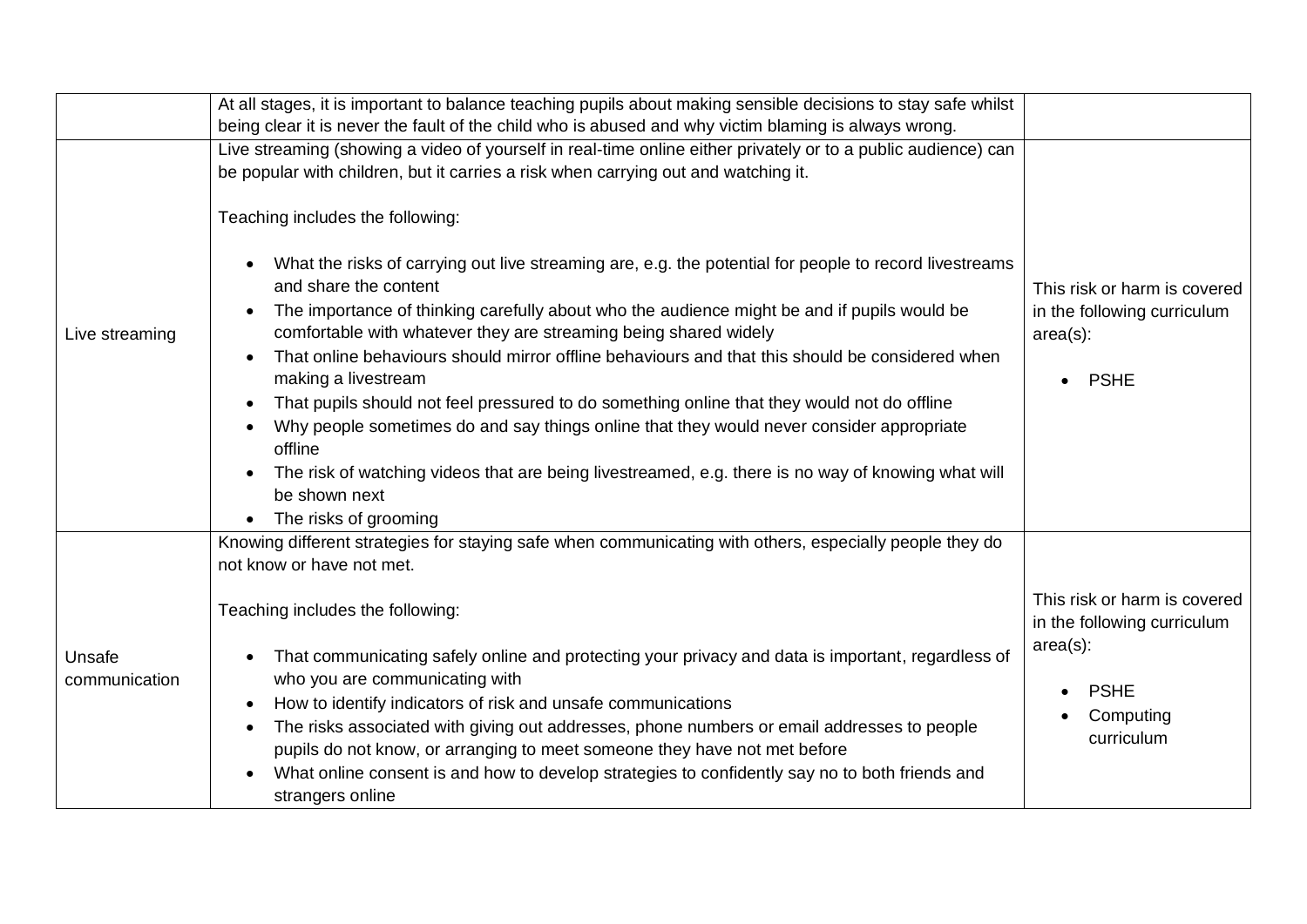|                         | At all stages, it is important to balance teaching pupils about making sensible decisions to stay safe whilst                                                                                                                                                                                                                                                                                                                                                                                                                                                                                                                      |                                                                                           |
|-------------------------|------------------------------------------------------------------------------------------------------------------------------------------------------------------------------------------------------------------------------------------------------------------------------------------------------------------------------------------------------------------------------------------------------------------------------------------------------------------------------------------------------------------------------------------------------------------------------------------------------------------------------------|-------------------------------------------------------------------------------------------|
|                         | being clear it is never the fault of the child who is abused and why victim blaming is always wrong.                                                                                                                                                                                                                                                                                                                                                                                                                                                                                                                               |                                                                                           |
|                         | Live streaming (showing a video of yourself in real-time online either privately or to a public audience) can<br>be popular with children, but it carries a risk when carrying out and watching it.                                                                                                                                                                                                                                                                                                                                                                                                                                |                                                                                           |
|                         | Teaching includes the following:                                                                                                                                                                                                                                                                                                                                                                                                                                                                                                                                                                                                   |                                                                                           |
| Live streaming          | What the risks of carrying out live streaming are, e.g. the potential for people to record livestreams<br>and share the content<br>The importance of thinking carefully about who the audience might be and if pupils would be<br>comfortable with whatever they are streaming being shared widely<br>That online behaviours should mirror offline behaviours and that this should be considered when<br>making a livestream<br>That pupils should not feel pressured to do something online that they would not do offline<br>Why people sometimes do and say things online that they would never consider appropriate<br>offline | This risk or harm is covered<br>in the following curriculum<br>$area(s)$ :<br><b>PSHE</b> |
|                         | The risk of watching videos that are being livestreamed, e.g. there is no way of knowing what will<br>be shown next<br>The risks of grooming                                                                                                                                                                                                                                                                                                                                                                                                                                                                                       |                                                                                           |
|                         | Knowing different strategies for staying safe when communicating with others, especially people they do<br>not know or have not met.                                                                                                                                                                                                                                                                                                                                                                                                                                                                                               |                                                                                           |
|                         | Teaching includes the following:                                                                                                                                                                                                                                                                                                                                                                                                                                                                                                                                                                                                   | This risk or harm is covered<br>in the following curriculum                               |
| Unsafe<br>communication | That communicating safely online and protecting your privacy and data is important, regardless of<br>who you are communicating with                                                                                                                                                                                                                                                                                                                                                                                                                                                                                                | $area(s)$ :<br><b>PSHE</b>                                                                |
|                         | How to identify indicators of risk and unsafe communications<br>The risks associated with giving out addresses, phone numbers or email addresses to people<br>pupils do not know, or arranging to meet someone they have not met before                                                                                                                                                                                                                                                                                                                                                                                            | Computing<br>curriculum                                                                   |
|                         | What online consent is and how to develop strategies to confidently say no to both friends and<br>strangers online                                                                                                                                                                                                                                                                                                                                                                                                                                                                                                                 |                                                                                           |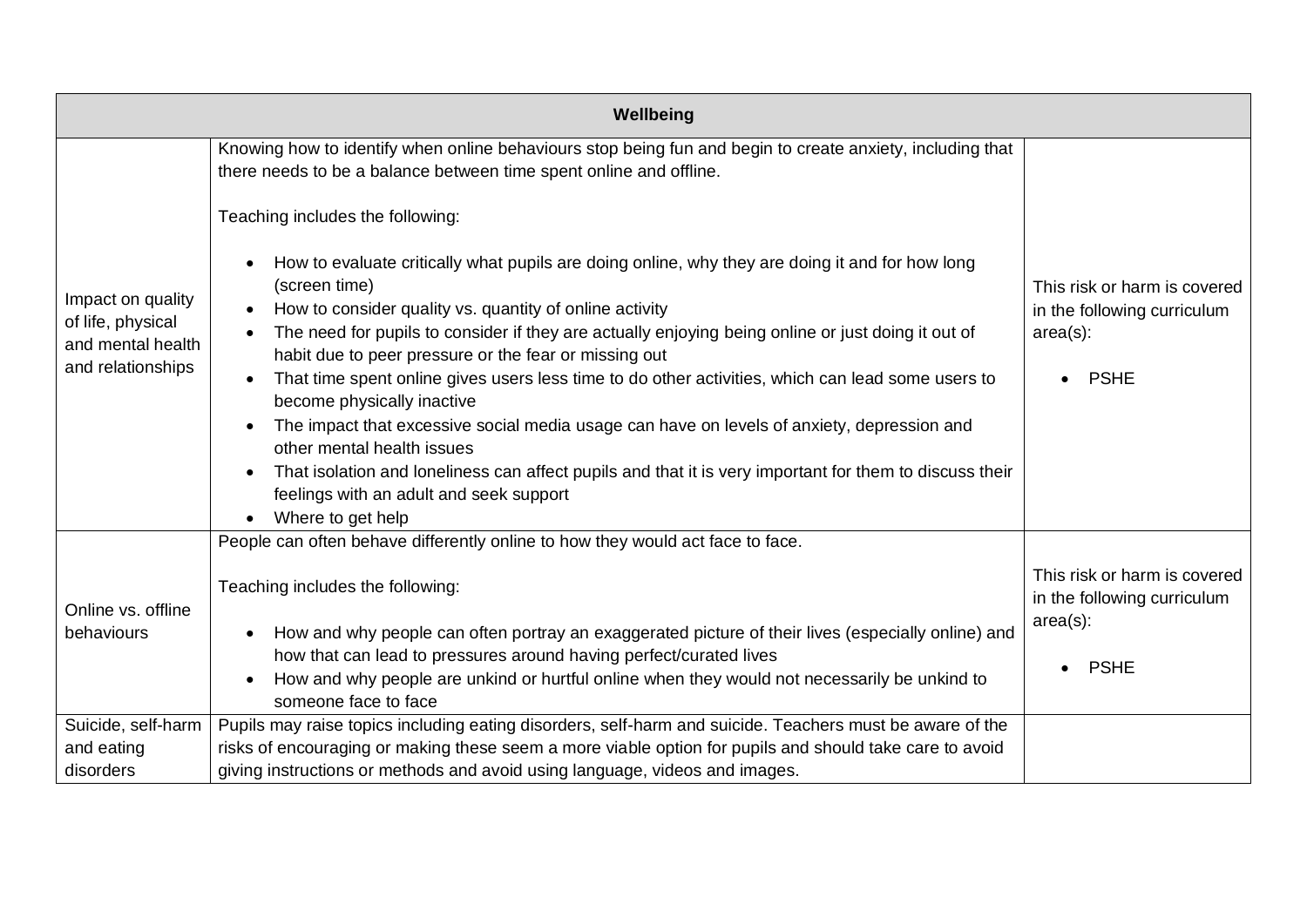|                                                                                          | Wellbeing                                                                                                                                                                       |                              |
|------------------------------------------------------------------------------------------|---------------------------------------------------------------------------------------------------------------------------------------------------------------------------------|------------------------------|
|                                                                                          | Knowing how to identify when online behaviours stop being fun and begin to create anxiety, including that<br>there needs to be a balance between time spent online and offline. |                              |
|                                                                                          | Teaching includes the following:                                                                                                                                                |                              |
|                                                                                          | How to evaluate critically what pupils are doing online, why they are doing it and for how long<br>(screen time)                                                                | This risk or harm is covered |
| Impact on quality                                                                        | How to consider quality vs. quantity of online activity                                                                                                                         | in the following curriculum  |
| of life, physical<br>and mental health<br>and relationships                              | The need for pupils to consider if they are actually enjoying being online or just doing it out of<br>habit due to peer pressure or the fear or missing out                     | $area(s)$ :                  |
|                                                                                          | That time spent online gives users less time to do other activities, which can lead some users to<br>become physically inactive                                                 | <b>PSHE</b>                  |
|                                                                                          | The impact that excessive social media usage can have on levels of anxiety, depression and                                                                                      |                              |
|                                                                                          | other mental health issues                                                                                                                                                      |                              |
|                                                                                          | That isolation and loneliness can affect pupils and that it is very important for them to discuss their                                                                         |                              |
|                                                                                          | feelings with an adult and seek support<br>Where to get help                                                                                                                    |                              |
|                                                                                          | People can often behave differently online to how they would act face to face.                                                                                                  |                              |
|                                                                                          |                                                                                                                                                                                 |                              |
|                                                                                          | Teaching includes the following:                                                                                                                                                | This risk or harm is covered |
| Online vs. offline                                                                       |                                                                                                                                                                                 | in the following curriculum  |
| behaviours                                                                               | How and why people can often portray an exaggerated picture of their lives (especially online) and                                                                              | $area(s)$ :                  |
|                                                                                          | how that can lead to pressures around having perfect/curated lives                                                                                                              | <b>PSHE</b>                  |
|                                                                                          | How and why people are unkind or hurtful online when they would not necessarily be unkind to                                                                                    |                              |
|                                                                                          | someone face to face                                                                                                                                                            |                              |
| Suicide, self-harm                                                                       | Pupils may raise topics including eating disorders, self-harm and suicide. Teachers must be aware of the                                                                        |                              |
| and eating                                                                               | risks of encouraging or making these seem a more viable option for pupils and should take care to avoid                                                                         |                              |
| giving instructions or methods and avoid using language, videos and images.<br>disorders |                                                                                                                                                                                 |                              |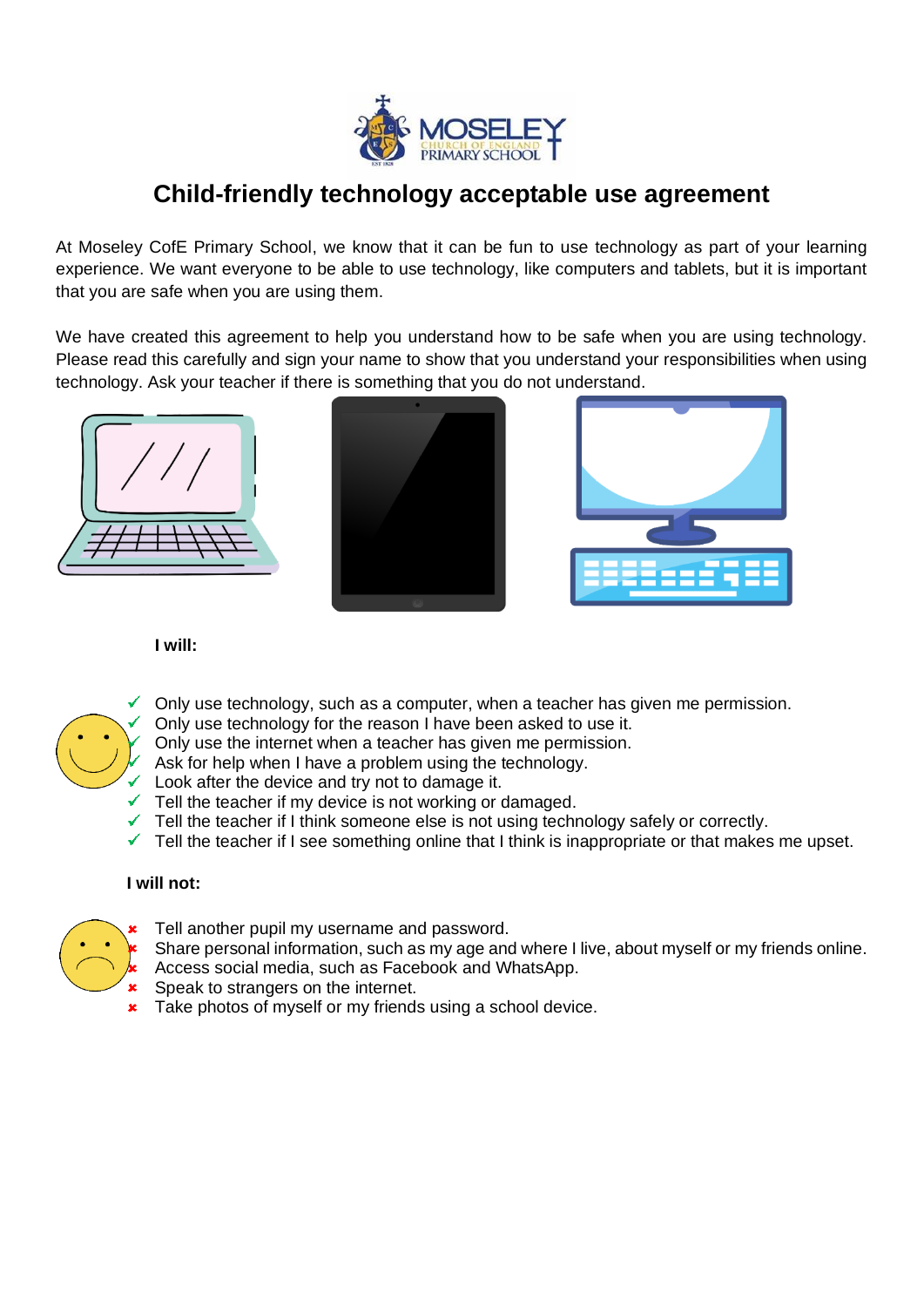

# **Child-friendly technology acceptable use agreement**

At Moseley CofE Primary School, we know that it can be fun to use technology as part of your learning experience. We want everyone to be able to use technology, like computers and tablets, but it is important that you are safe when you are using them.

We have created this agreement to help you understand how to be safe when you are using technology. Please read this carefully and sign your name to show that you understand your responsibilities when using technology. Ask your teacher if there is something that you do not understand.







#### **I will:**



 $\checkmark$  Only use technology, such as a computer, when a teacher has given me permission.

Only use technology for the reason I have been asked to use it.

- Only use the internet when a teacher has given me permission.
- Ask for help when I have a problem using the technology.
- Look after the device and try not to damage it.
- Tell the teacher if my device is not working or damaged.
- Tell the teacher if I think someone else is not using technology safely or correctly.
- $\checkmark$  Tell the teacher if I see something online that I think is inappropriate or that makes me upset.

#### **I will not:**



Tell another pupil my username and password.

- Share personal information, such as my age and where I live, about myself or my friends online. Access social media, such as Facebook and WhatsApp.
- Speak to strangers on the internet.
- Take photos of myself or my friends using a school device.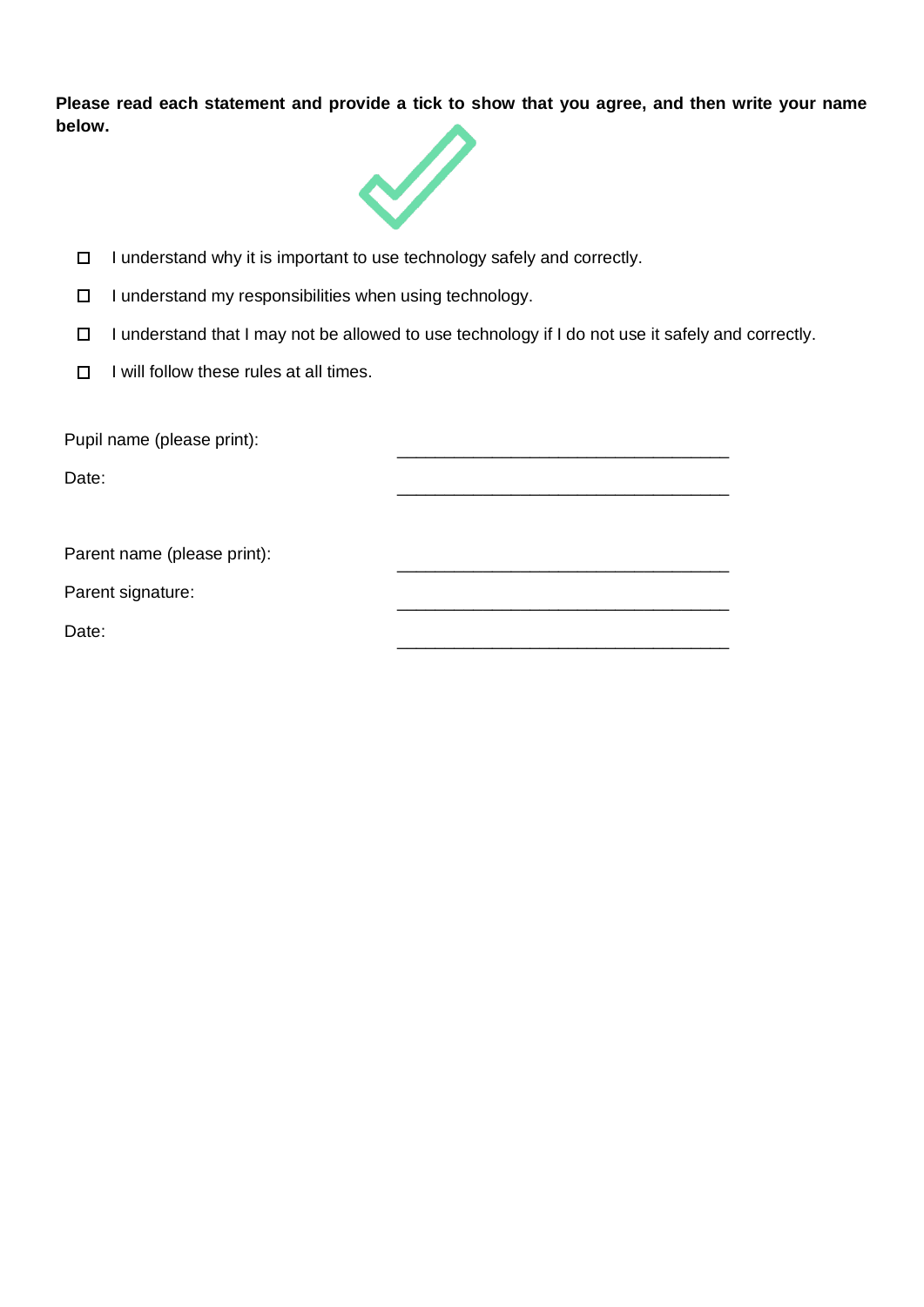**Please read each statement and provide a tick to show that you agree, and then write your name below.**



- I understand why it is important to use technology safely and correctly.  $\Box$
- $\Box$ I understand my responsibilities when using technology.
- I understand that I may not be allowed to use technology if I do not use it safely and correctly.  $\Box$
- $\Box$ I will follow these rules at all times.

| Pupil name (please print):  |  |  |
|-----------------------------|--|--|
| Date:                       |  |  |
|                             |  |  |
| Parent name (please print): |  |  |
| Parent signature:           |  |  |
| Date:                       |  |  |
|                             |  |  |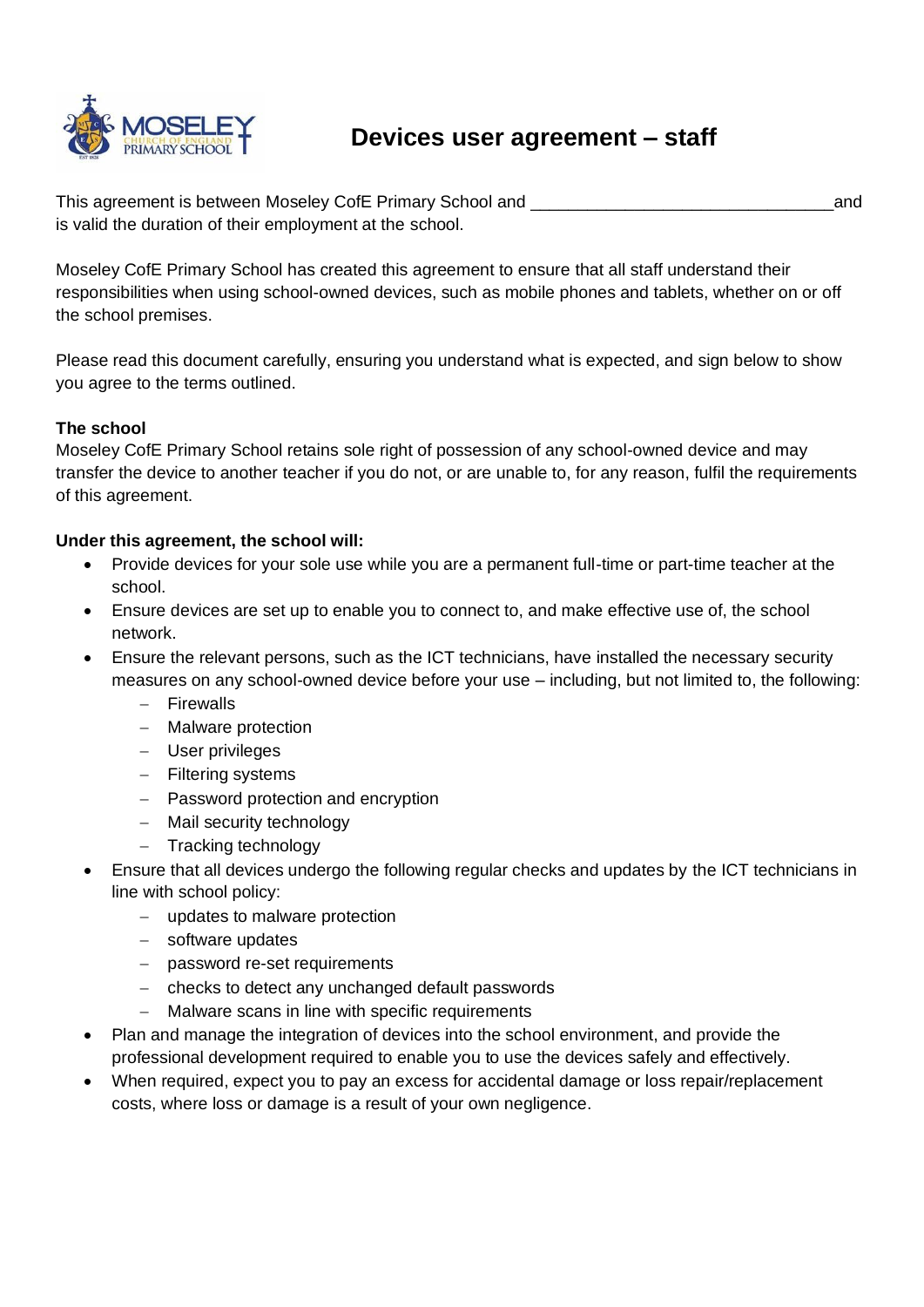

# **Devices user agreement – staff**

This agreement is between Moseley CofE Primary School and \_\_\_\_\_\_\_\_\_\_\_\_\_\_\_\_\_\_\_\_\_\_\_\_\_\_\_\_\_\_\_\_and is valid the duration of their employment at the school.

Moseley CofE Primary School has created this agreement to ensure that all staff understand their responsibilities when using school-owned devices, such as mobile phones and tablets, whether on or off the school premises.

Please read this document carefully, ensuring you understand what is expected, and sign below to show you agree to the terms outlined.

#### **The school**

Moseley CofE Primary School retains sole right of possession of any school-owned device and may transfer the device to another teacher if you do not, or are unable to, for any reason, fulfil the requirements of this agreement.

#### **Under this agreement, the school will:**

- Provide devices for your sole use while you are a permanent full-time or part-time teacher at the school.
- Ensure devices are set up to enable you to connect to, and make effective use of, the school network.
- Ensure the relevant persons, such as the ICT technicians, have installed the necessary security measures on any school-owned device before your use – including, but not limited to, the following:
	- − Firewalls
	- − Malware protection
	- − User privileges
	- − Filtering systems
	- − Password protection and encryption
	- − Mail security technology
	- − Tracking technology
- Ensure that all devices undergo the following regular checks and updates by the ICT technicians in line with school policy:
	- − updates to malware protection
	- − software updates
	- − password re-set requirements
	- − checks to detect any unchanged default passwords
	- Malware scans in line with specific requirements
- Plan and manage the integration of devices into the school environment, and provide the professional development required to enable you to use the devices safely and effectively.
- When required, expect you to pay an excess for accidental damage or loss repair/replacement costs, where loss or damage is a result of your own negligence.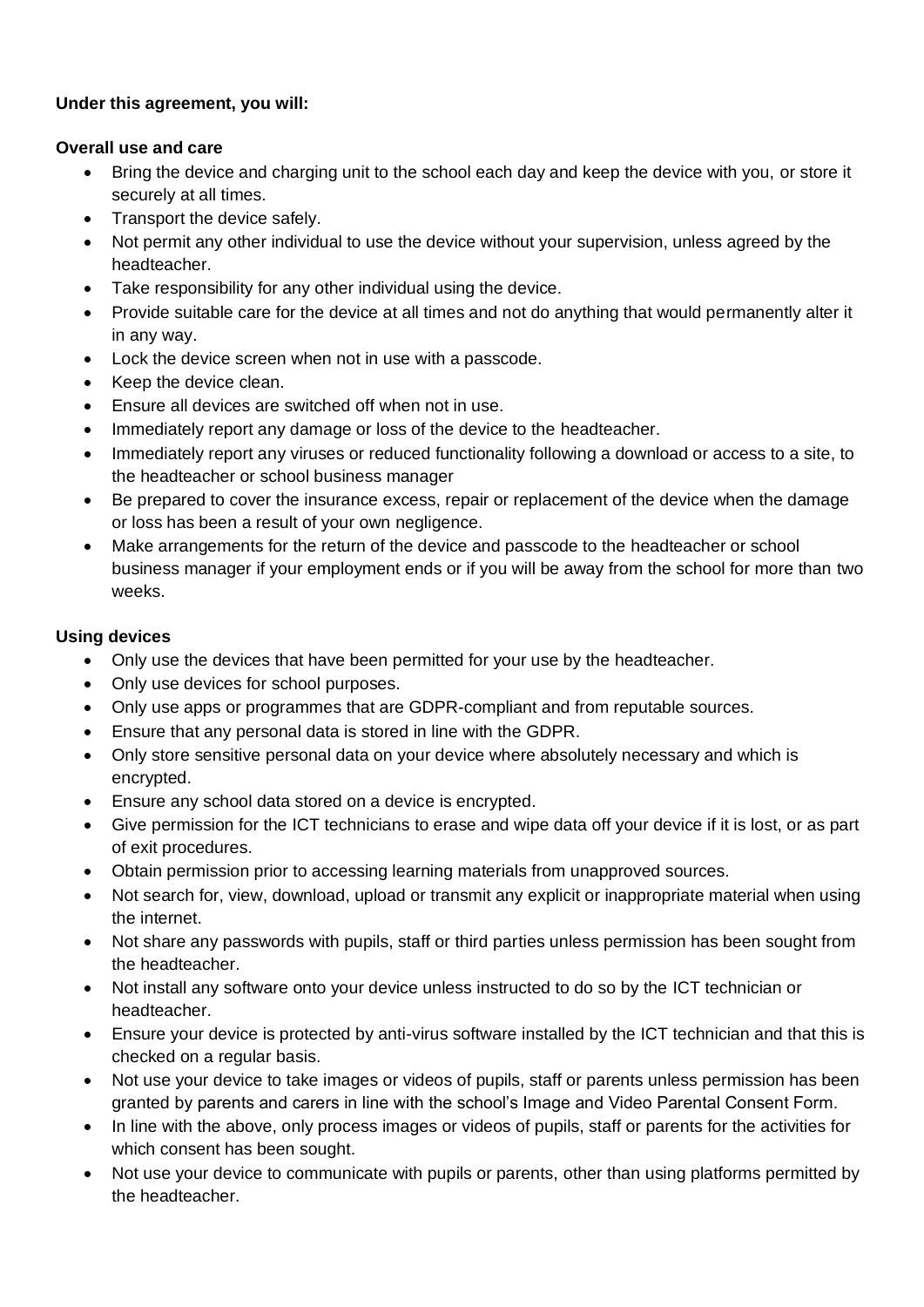#### **Under this agreement, you will:**

#### **Overall use and care**

- Bring the device and charging unit to the school each day and keep the device with you, or store it securely at all times.
- Transport the device safely.
- Not permit any other individual to use the device without your supervision, unless agreed by the headteacher.
- Take responsibility for any other individual using the device.
- Provide suitable care for the device at all times and not do anything that would permanently alter it in any way.
- Lock the device screen when not in use with a passcode.
- Keep the device clean.
- Ensure all devices are switched off when not in use.
- Immediately report any damage or loss of the device to the headteacher.
- Immediately report any viruses or reduced functionality following a download or access to a site, to the headteacher or school business manager
- Be prepared to cover the insurance excess, repair or replacement of the device when the damage or loss has been a result of your own negligence.
- Make arrangements for the return of the device and passcode to the headteacher or school business manager if your employment ends or if you will be away from the school for more than two weeks.

#### **Using devices**

- Only use the devices that have been permitted for your use by the headteacher.
- Only use devices for school purposes.
- Only use apps or programmes that are GDPR-compliant and from reputable sources.
- Ensure that any personal data is stored in line with the GDPR.
- Only store sensitive personal data on your device where absolutely necessary and which is encrypted.
- Ensure any school data stored on a device is encrypted.
- Give permission for the ICT technicians to erase and wipe data off your device if it is lost, or as part of exit procedures.
- Obtain permission prior to accessing learning materials from unapproved sources.
- Not search for, view, download, upload or transmit any explicit or inappropriate material when using the internet.
- Not share any passwords with pupils, staff or third parties unless permission has been sought from the headteacher.
- Not install any software onto your device unless instructed to do so by the ICT technician or headteacher.
- Ensure your device is protected by anti-virus software installed by the ICT technician and that this is checked on a regular basis.
- Not use your device to take images or videos of pupils, staff or parents unless permission has been granted by parents and carers in line with the school's Image and Video Parental Consent Form.
- In line with the above, only process images or videos of pupils, staff or parents for the activities for which consent has been sought.
- Not use your device to communicate with pupils or parents, other than using platforms permitted by the headteacher.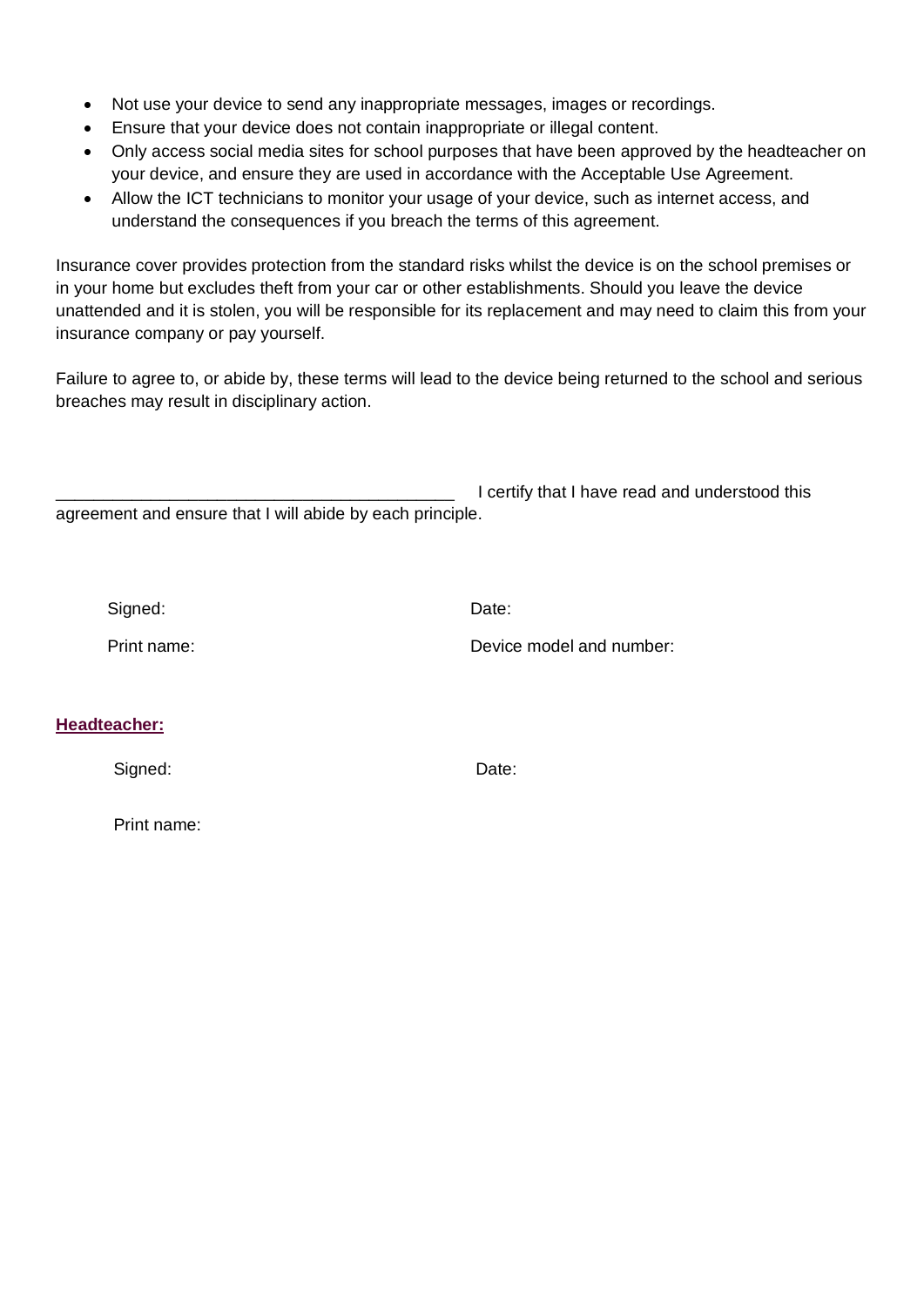- Not use your device to send any inappropriate messages, images or recordings.
- Ensure that your device does not contain inappropriate or illegal content.
- Only access social media sites for school purposes that have been approved by the headteacher on your device, and ensure they are used in accordance with the Acceptable Use Agreement.
- Allow the ICT technicians to monitor your usage of your device, such as internet access, and understand the consequences if you breach the terms of this agreement.

Insurance cover provides protection from the standard risks whilst the device is on the school premises or in your home but excludes theft from your car or other establishments. Should you leave the device unattended and it is stolen, you will be responsible for its replacement and may need to claim this from your insurance company or pay yourself.

Failure to agree to, or abide by, these terms will lead to the device being returned to the school and serious breaches may result in disciplinary action.

I certify that I have read and understood this agreement and ensure that I will abide by each principle.

Signed: **Date:** Date:

Print name: Device model and number:

#### **Headteacher:**

Signed: Date:

Print name: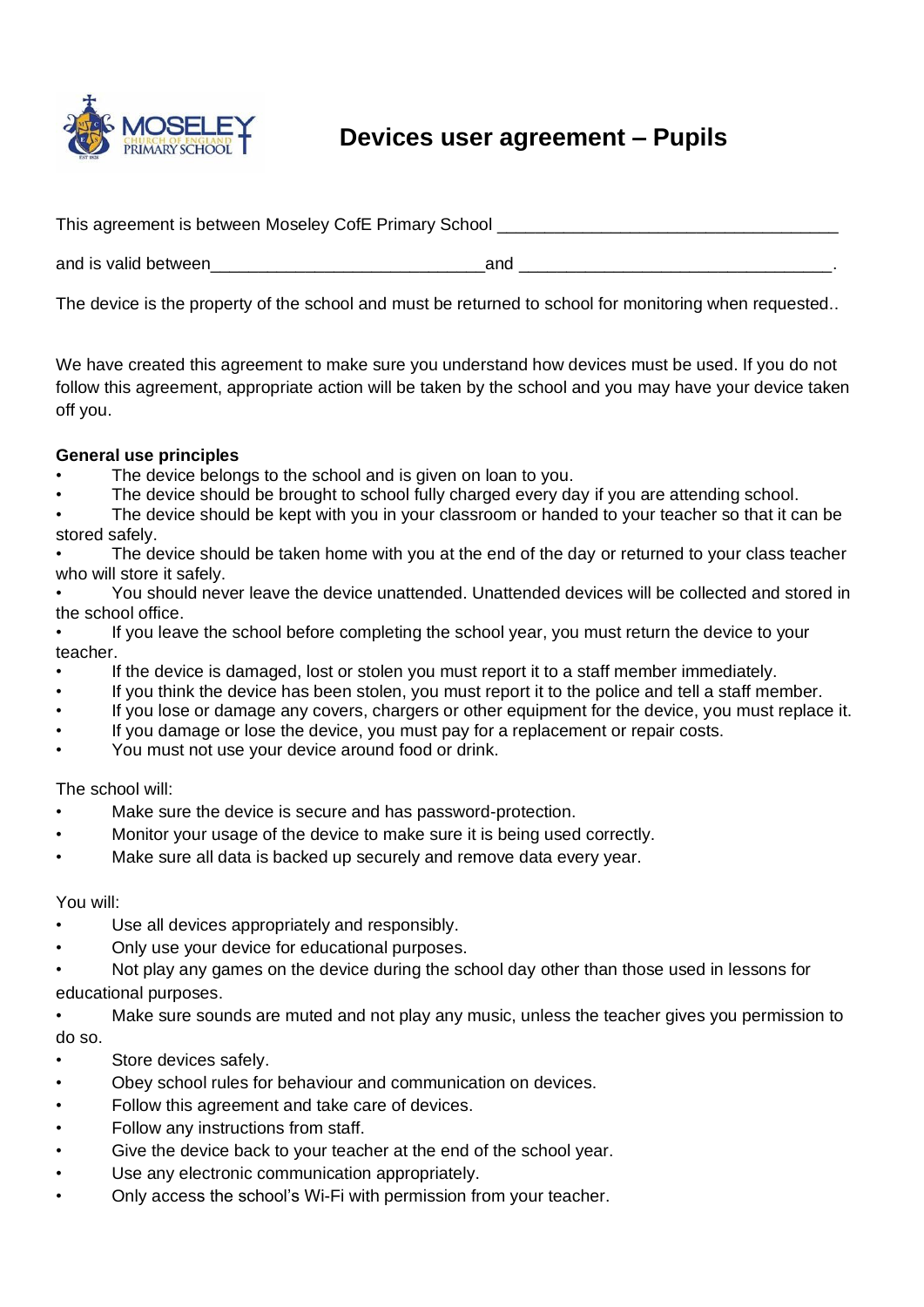

# **Devices user agreement – Pupils**

| This agreement is between Moseley CofE Primary School |     |  |  |
|-------------------------------------------------------|-----|--|--|
| and is valid between                                  | and |  |  |

The device is the property of the school and must be returned to school for monitoring when requested..

We have created this agreement to make sure you understand how devices must be used. If you do not follow this agreement, appropriate action will be taken by the school and you may have your device taken off you.

#### **General use principles**

- The device belongs to the school and is given on loan to you.
- The device should be brought to school fully charged every day if you are attending school.
- The device should be kept with you in your classroom or handed to your teacher so that it can be stored safely.
- The device should be taken home with you at the end of the day or returned to your class teacher who will store it safely.
- You should never leave the device unattended. Unattended devices will be collected and stored in the school office.
- If you leave the school before completing the school year, you must return the device to your teacher.
- If the device is damaged, lost or stolen you must report it to a staff member immediately.
- If you think the device has been stolen, you must report it to the police and tell a staff member.
- If you lose or damage any covers, chargers or other equipment for the device, you must replace it.
- If you damage or lose the device, you must pay for a replacement or repair costs.
- You must not use your device around food or drink.

The school will:

- Make sure the device is secure and has password-protection.
- Monitor your usage of the device to make sure it is being used correctly.
- Make sure all data is backed up securely and remove data every year.

#### You will:

- Use all devices appropriately and responsibly.
- Only use your device for educational purposes.
- Not play any games on the device during the school day other than those used in lessons for educational purposes.
- Make sure sounds are muted and not play any music, unless the teacher gives you permission to do so.
- Store devices safely.
- Obey school rules for behaviour and communication on devices.
- Follow this agreement and take care of devices.
- Follow any instructions from staff.
- Give the device back to your teacher at the end of the school year.
- Use any electronic communication appropriately.
- Only access the school's Wi-Fi with permission from your teacher.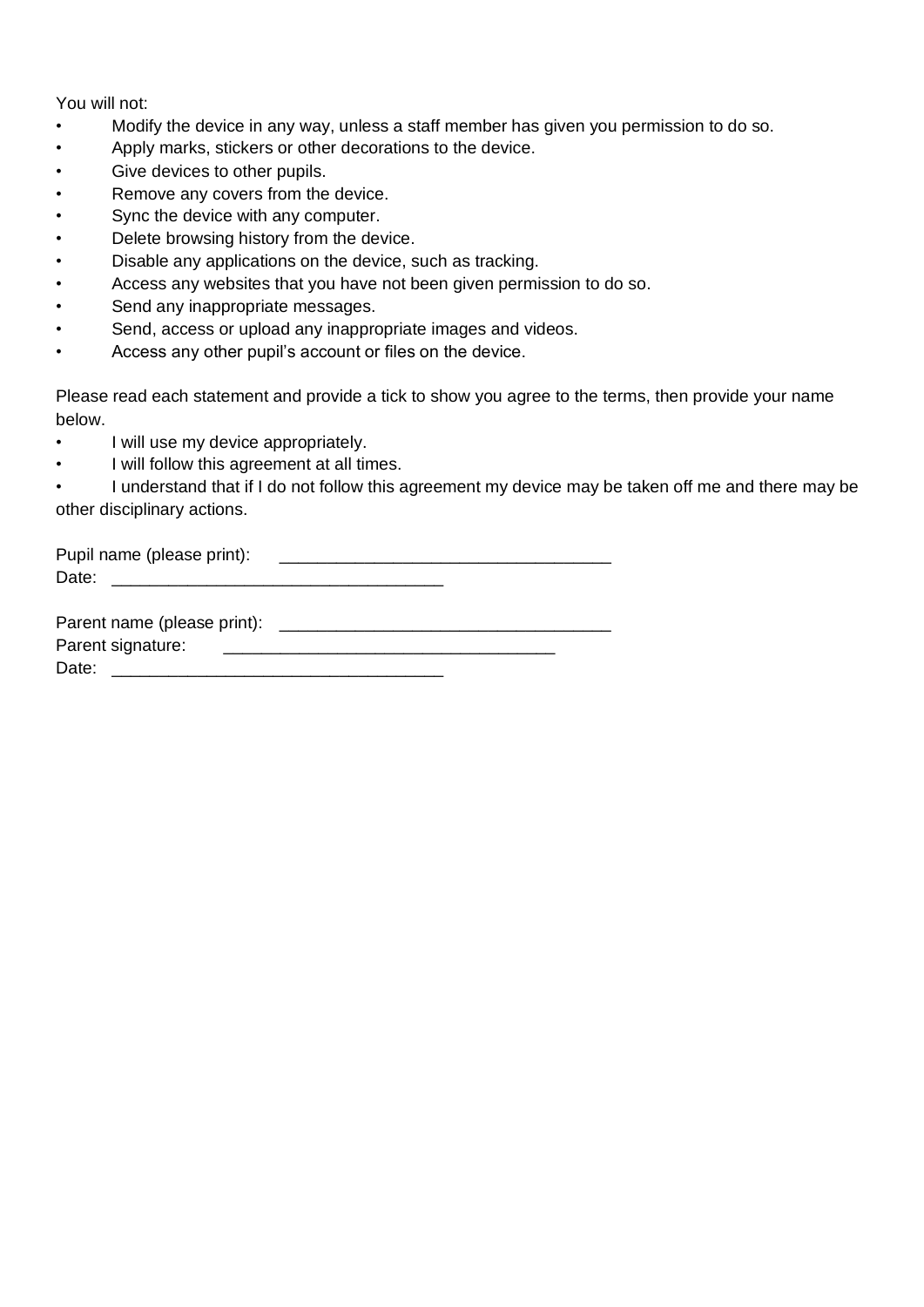You will not:

- Modify the device in any way, unless a staff member has given you permission to do so.
- Apply marks, stickers or other decorations to the device.
- Give devices to other pupils.
- Remove any covers from the device.
- Sync the device with any computer.
- Delete browsing history from the device.
- Disable any applications on the device, such as tracking.
- Access any websites that you have not been given permission to do so.
- Send any inappropriate messages.
- Send, access or upload any inappropriate images and videos.
- Access any other pupil's account or files on the device.

Please read each statement and provide a tick to show you agree to the terms, then provide your name below.

- I will use my device appropriately.
- I will follow this agreement at all times.

• I understand that if I do not follow this agreement my device may be taken off me and there may be other disciplinary actions.

| Pupil name (please print):  |  |
|-----------------------------|--|
| Date:                       |  |
|                             |  |
| Parent name (please print); |  |

Parent name (please print): \_\_\_\_\_\_\_\_\_\_\_\_\_\_\_\_\_\_\_\_\_\_\_\_\_\_\_\_\_\_\_\_\_\_\_ Parent signature: \_\_\_\_\_\_\_\_\_\_\_\_\_\_\_\_\_\_\_\_\_\_\_\_\_\_\_\_\_\_\_\_\_\_\_ Date: \_\_\_\_\_\_\_\_\_\_\_\_\_\_\_\_\_\_\_\_\_\_\_\_\_\_\_\_\_\_\_\_\_\_\_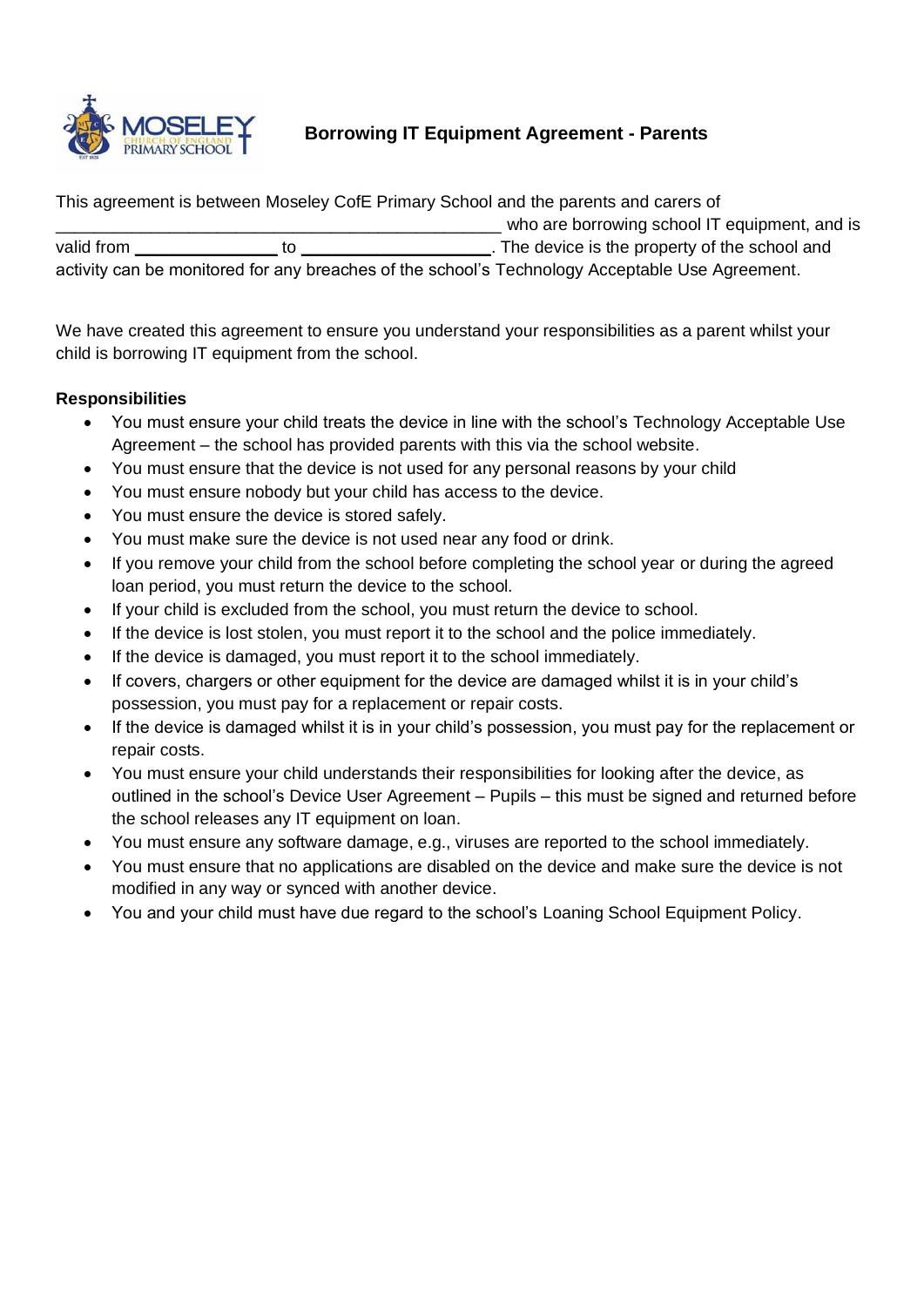

#### **Borrowing IT Equipment Agreement - Parents**

This agreement is between Moseley CofE Primary School and the parents and carers of \_\_\_\_\_\_\_\_\_\_\_\_\_\_\_\_\_\_\_\_\_\_\_\_\_\_\_\_\_\_\_\_\_\_\_\_\_\_\_\_\_\_\_\_\_\_\_ who are borrowing school IT equipment, and is valid from **the school and** to **and the school and** to **and** the device is the property of the school and activity can be monitored for any breaches of the school's Technology Acceptable Use Agreement.

We have created this agreement to ensure you understand your responsibilities as a parent whilst your child is borrowing IT equipment from the school.

#### **Responsibilities**

- You must ensure your child treats the device in line with the school's Technology Acceptable Use Agreement – the school has provided parents with this via the school website.
- You must ensure that the device is not used for any personal reasons by your child
- You must ensure nobody but your child has access to the device.
- You must ensure the device is stored safely.
- You must make sure the device is not used near any food or drink.
- If you remove your child from the school before completing the school year or during the agreed loan period, you must return the device to the school.
- If your child is excluded from the school, you must return the device to school.
- If the device is lost stolen, you must report it to the school and the police immediately.
- If the device is damaged, you must report it to the school immediately.
- If covers, chargers or other equipment for the device are damaged whilst it is in your child's possession, you must pay for a replacement or repair costs.
- If the device is damaged whilst it is in your child's possession, you must pay for the replacement or repair costs.
- You must ensure your child understands their responsibilities for looking after the device, as outlined in the school's Device User Agreement – Pupils – this must be signed and returned before the school releases any IT equipment on loan.
- You must ensure any software damage, e.g., viruses are reported to the school immediately.
- You must ensure that no applications are disabled on the device and make sure the device is not modified in any way or synced with another device.
- You and your child must have due regard to the school's Loaning School Equipment Policy.